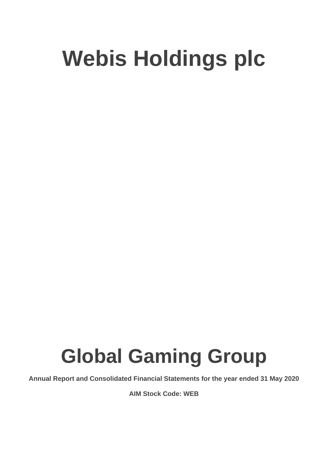# **Global Gaming Group**

**Annual Report and Consolidated Financial Statements for the year ended 31 May 2020**

**AIM Stock Code: WEB**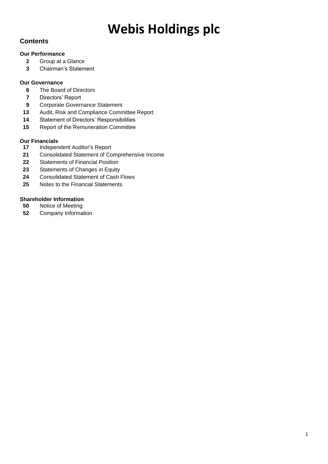# **Contents**

### **Our Performance**

- Group at a Glance
- Chairman's Statement

### **Our Governance**

- The Board of Directors
- Directors' Report
- Corporate Governance Statement
- Audit, Risk and Compliance Committee Report
- Statement of Directors' Responsibilities
- Report of the Remuneration Committee

### **Our Financials**

- Independent Auditor's Report
- Consolidated Statement of Comprehensive Income
- Statements of Financial Position
- Statements of Changes in Equity
- Consolidated Statement of Cash Flows
- Notes to the Financial Statements

### **Shareholder Information**

- Notice of Meeting
- Company Information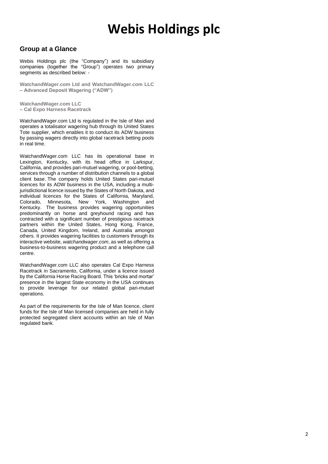### **Group at a Glance**

Webis Holdings plc (the "Company") and its subsidiary companies (together the "Group") operates two primary segments as described below: -

**WatchandWager.com Ltd and WatchandWager.com LLC – Advanced Deposit Wagering ("ADW")**

**WatchandWager.com LLC – Cal Expo Harness Racetrack**

WatchandWager.com Ltd is regulated in the Isle of Man and operates a totalisator wagering hub through its United States Tote supplier, which enables it to conduct its ADW business by passing wagers directly into global racetrack betting pools in real time.

WatchandWager.com LLC has its operational base in Lexington, Kentucky, with its head office in Larkspur, California, and provides pari-mutuel wagering, or pool-betting, services through a number of distribution channels to a global client base. The company holds United States pari-mutuel licences for its ADW business in the USA, including a multijurisdictional licence issued by the States of North Dakota, and individual licences for the States of California, Maryland, Colorado, Minnesota, New York, Washington and Kentucky. The business provides wagering opportunities predominantly on horse and greyhound racing and has contracted with a significant number of prestigious racetrack partners within the United States, Hong Kong, France, Canada, United Kingdom, Ireland, and Australia amongst others. It provides wagering facilities to customers through its interactive website, *watchandwager.com*, as well as offering a business-to-business wagering product and a telephone call centre.

WatchandWager.com LLC also operates Cal Expo Harness Racetrack in Sacramento, California, under a licence issued by the California Horse Racing Board. This 'bricks and mortar' presence in the largest State economy in the USA continues to provide leverage for our related global pari-mutuel operations.

As part of the requirements for the Isle of Man licence, client funds for the Isle of Man licensed companies are held in fully protected segregated client accounts within an Isle of Man regulated bank.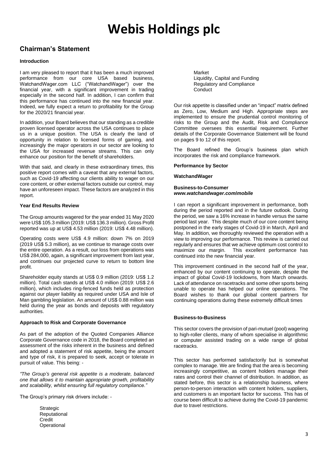# **Chairman's Statement**

#### **Introduction**

I am very pleased to report that it has been a much improved performance from our core USA based business, WatchandWager.com LLC ("WatchandWager") over the financial year, with a significant improvement in trading especially in the second half. In addition, I can confirm that this performance has continued into the new financial year. Indeed, we fully expect a return to profitability for the Group for the 2020/21 financial year.

In addition, your Board believes that our standing as a credible proven licensed operator across the USA continues to place us in a unique position. The USA is clearly the land of opportunity in relation to licensed forms of gaming, and increasingly the major operators in our sector are looking to the USA for increased revenue streams. This can only enhance our position for the benefit of shareholders.

With that said, and clearly in these extraordinary times, this positive report comes with a caveat that any external factors, such as Covid-19 affecting our clients ability to wager on our core content, or other external factors outside our control, may have an unforeseen impact. These factors are analyzed in this report.

#### **Year End Results Review**

The Group amounts wagered for the year ended 31 May 2020 were US\$ 105.3 million (2019: US\$ 136.3 million). Gross Profit reported was up at US\$ 4.53 million (2019: US\$ 4.48 million).

Operating costs were US\$ 4.9 million: down 7% on 2019 (2019 US\$ 5.3 million), as we continue to manage costs over the entire operation. As a result, our loss from operations was US\$ 284,000, again, a significant improvement from last year, and continues our projected curve to return to bottom line profit.

Shareholder equity stands at US\$ 0.9 million (2019: US\$ 1.2 million). Total cash stands at US\$ 4.0 million (2019: US\$ 2.6 million), which includes ring-fenced funds held as protection against our player liability as required under USA and Isle of Man gambling legislation. An amount of US\$ 0.88 million was held during the year as bonds and deposits with regulatory authorities.

#### **Approach to Risk and Corporate Governance**

As part of the adoption of the Quoted Companies Alliance Corporate Governance code in 2018, the Board completed an assessment of the risks inherent in the business and defined and adopted a statement of risk appetite, being the amount and type of risk, it is prepared to seek, accept or tolerate in pursuit of value. This being: -

*"The Group's general risk appetite is a moderate, balanced one that allows it to maintain appropriate growth, profitability and scalability, whilst ensuring full regulatory compliance."*

The Group's primary risk drivers include: -

**Strategic** Reputational Credit **Operational** 

Market Liquidity, Capital and Funding Regulatory and Compliance **Conduct** 

Our risk appetite is classified under an "impact" matrix defined as Zero, Low, Medium and High. Appropriate steps are implemented to ensure the prudential control monitoring of risks to the Group and the Audit, Risk and Compliance Committee oversees this essential requirement. Further details of the Corporate Governance Statement will be found on pages 9 to 12 of this report.

The Board refined the Group's business plan which incorporates the risk and compliance framework.

#### **Performance by Sector**

#### **WatchandWager**

#### **Business-to-Consumer** *www.watchandwager.com***/***mobile*

I can report a significant improvement in performance, both during the period reported and in the future outlook. During the period, we saw a 16% increase in handle versus the same period last year. This despite much of our core content being postponed in the early stages of Covid-19 in March, April and May. In addition, we thoroughly reviewed the operation with a view to improving our performance. This review is carried out regularly and ensures that we achieve optimum cost control to maximize our margin. This excellent performance has continued into the new financial year.

This improvement continued in the second half of the year, enhanced by our content continuing to operate, despite the impact of global Covid-19 lockdowns, from March onwards. Lack of attendance on racetracks and some other sports being unable to operate has helped our online operations. The Board wishes to thank our global content partners for continuing operations during these extremely difficult times

#### **Business-to-Business**

This sector covers the provision of pari-mutuel (pool) wagering to high-roller clients, many of whom specialise in algorithmic or computer assisted trading on a wide range of global racetracks.

This sector has performed satisfactorily but is somewhat complex to manage. We are finding that the area is becoming increasingly competitive, as content holders manage their rates and control their channel of distribution. In addition, as stated before, this sector is a relationship business, where person-to-person interaction with content holders, suppliers, and customers is an important factor for success. This has of course been difficult to achieve during the Covid-19 pandemic due to travel restrictions.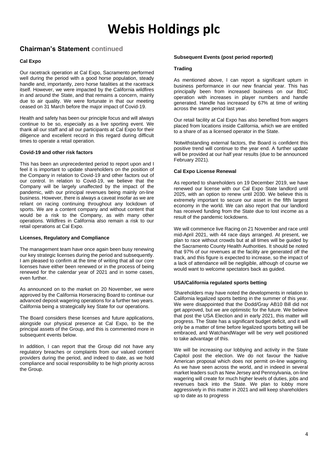## **Chairman's Statement continued**

#### **Cal Expo**

Our racetrack operation at Cal Expo, Sacramento performed well during the period with a good horse population, steady handle and, importantly, zero horse fatalities at the racetrack itself. However, we were impacted by the California wildfires in and around the State, and that remains a concern, mainly due to air quality. We were fortunate in that our meeting ceased on 31 March before the major impact of Covid-19.

Health and safety has been our principle focus and will always continue to be so, especially as a live sporting event. We thank all our staff and all our participants at Cal Expo for their diligence and excellent record in this regard during difficult times to operate a retail operation.

#### **Covid-19 and other risk factors**

This has been an unprecedented period to report upon and I feel it is important to update shareholders on the position of the Company in relation to Covid-19 and other factors out of our control. In relation to Covid-19, we believe that the Company will be largely unaffected by the impact of the pandemic, with our principal revenues being mainly on-line business. However, there is always a caveat insofar as we are reliant on racing continuing throughout any lockdown of sports. We are a content company and without content that would be a risk to the Company, as with many other operations. Wildfires in California also remain a risk to our retail operations at Cal Expo.

#### **Licenses, Regulatory and Compliance**

The management team have once again been busy renewing our key strategic licenses during the period and subsequently. I am pleased to confirm at the time of writing that all our core licenses have either been renewed or in the process of being renewed for the calendar year of 2021 and in some cases, even further.

As announced on to the market on 20 November, we were approved by the California Horseracing Board to continue our advanced deposit wagering operations for a further two years. California being a strategically key State for our operations.

The Board considers these licenses and future applications, alongside our physical presence at Cal Expo, to be the principal assets of the Group, and this is commented more in subsequent events below.

In addition, I can report that the Group did not have any regulatory breaches or complaints from our valued content providers during the period, and indeed to date, as we hold compliance and social responsibility to be high priority across the Group.

#### **Subsequent Events (post period reported)**

#### **Trading**

As mentioned above, I can report a significant upturn in business performance in our new financial year. This has principally been from increased business on our BtoC operation with increases in player numbers and handle generated. Handle has increased by 67% at time of writing across the same period last year.

Our retail facility at Cal Expo has also benefited from wagers placed from locations inside California, which we are entitled to a share of as a licensed operator in the State.

Notwithstanding external factors, the Board is confident this positive trend will continue to the year end. A further update will be provided at our half year results (due to be announced February 2021).

#### **Cal Expo License Renewal**

As reported to shareholders on 19 December 2019, we have renewed our license with our Cal Expo State landlord until 2025, with an option to renew until 2030. We believe this is extremely important to secure our asset in the fifth largest economy in the world. We can also report that our landlord has received funding from the State due to lost income as a result of the pandemic lockdowns.

We will commence live Racing on 21 November and race until mid-April 2021, with 44 race days arranged. At present, we plan to race without crowds but at all times will be guided by the Sacramento County Health Authorities. It should be noted that 97% of our revenues at the facility are generated off the track, and this figure is expected to increase, so the impact of a lack of attendance will be negligible, although of course we would want to welcome spectators back as guided.

#### **USA/California regulated sports betting**

Shareholders may have noted the developments in relation to California legalized sports betting in the summer of this year. We were disappointed that the Dodd/Gray AB10 Bill did not get approved, but we are optimistic for the future. We believe that post the USA Election and in early 2021, this matter will progress. The State has a significant budget deficit, and it will only be a matter of time before legalized sports betting will be embraced, and WatchandWager will be very well positioned to take advantage of this.

We will be increasing our lobbying and activity in the State Capitol post the election. We do not favour the Native American proposal which does not permit on-line wagering. As we have seen across the world, and in indeed in several market leaders such as New Jersey and Pennsylvania, on-line wagering will create for much higher levels of duties, jobs and revenues back into the State. We plan to lobby more aggressively in this matter in 2021 and will keep shareholders up to date as to progress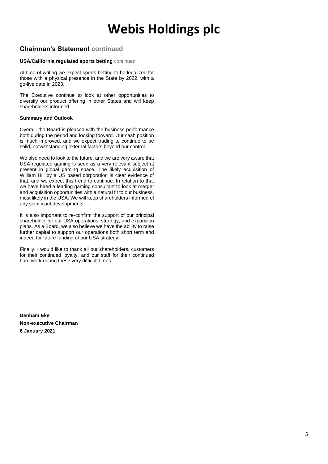# **Chairman's Statement continued**

#### **USA/California regulated sports betting** continued

At time of writing we expect sports betting to be legalized for those with a physical presence in the State by 2022, with a go-live date in 2023.

The Executive continue to look at other opportunities to diversify our product offering in other States and will keep shareholders informed.

#### **Summary and Outlook**

Overall, the Board is pleased with the business performance both during the period and looking forward. Our cash position is much improved, and we expect trading to continue to be solid, notwithstanding external factors beyond our control

We also need to look to the future, and we are very aware that USA regulated gaming is seen as a very relevant subject at present in global gaming space. The likely acquisition of William Hill by a US based corporation is clear evidence of that, and we expect this trend to continue. In relation to that we have hired a leading gaming consultant to look at merger and acquisition opportunities with a natural fit to our business, most likely in the USA. We will keep shareholders informed of any significant developments.

It is also important to re-confirm the support of our principal shareholder for our USA operations, strategy, and expansion plans. As a Board, we also believe we have the ability to raise further capital to support our operations both short term and indeed for future funding of our USA strategy.

Finally, I would like to thank all our shareholders, customers for their continued loyalty, and our staff for their continued hard work during these very difficult times.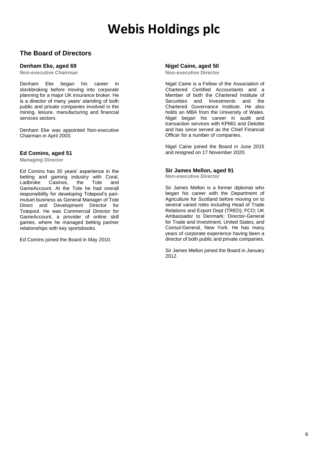### **The Board of Directors**

#### **Denham Eke, aged 69**

**Non-executive Chairman**

Denham Eke began his career in stockbroking before moving into corporate planning for a major UK insurance broker. He is a director of many years' standing of both public and private companies involved in the mining, leisure, manufacturing and financial services sectors.

Denham Eke was appointed Non-executive Chairman in April 2003.

#### **Ed Comins, aged 51**

**Managing Director**

Ed Comins has 30 years' experience in the betting and gaming industry with Coral, Ladbroke Casinos, the Tote and GameAccount. At the Tote he had overall responsibility for developing Totepool's parimutuel business as General Manager of Tote Direct and Development Director for Totepool. He was Commercial Director for GameAccount, a provider of online skill games, where he managed betting partner relationships with key sportsbooks.

Ed Comins joined the Board in May 2010.

#### **Nigel Caine, aged 50**

**Non-executive Director**

Nigel Caine is a Fellow of the Association of Chartered Certified Accountants and a Member of both the Chartered Institute of Securities and Investments and the Chartered Governance Institute. He also holds an MBA from the University of Wales. Nigel began his career in audit and transaction services with KPMG and Deloitte and has since served as the Chief Financial Officer for a number of companies.

Nigel Caine joined the Board in June 2015 and resigned on 17 November 2020.

#### **Sir James Mellon, aged 91**

**Non-executive Director**

Sir James Mellon is a former diplomat who began his career with the Department of Agriculture for Scotland before moving on to several varied roles including Head of Trade Relations and Export Dept (TRED); FCO; UK Ambassador to Denmark; Director-General for Trade and Investment, United States; and Consul-General, New York. He has many years of corporate experience having been a director of both public and private companies.

Sir James Mellon joined the Board in January 2012.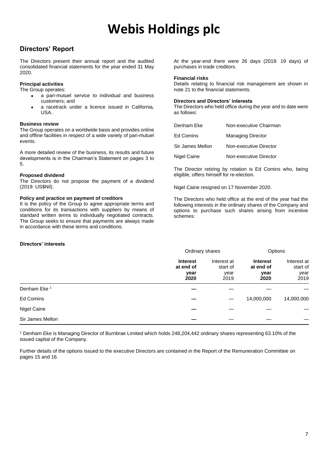### **Directors' Report**

The Directors present their annual report and the audited consolidated financial statements for the year ended 31 May 2020.

#### **Principal activities**

The Group operates:

- a pari-mutuel service to individual and business customers; and
- a racetrack under a licence issued in California, USA.

#### **Business review**

The Group operates on a worldwide basis and provides online and offline facilities in respect of a wide variety of pari-mutuel events.

A more detailed review of the business, its results and future developments is in the Chairman's Statement on pages 3 to 5.

#### **Proposed dividend**

The Directors do not propose the payment of a dividend (2019: US\$Nil).

#### **Policy and practice on payment of creditors**

It is the policy of the Group to agree appropriate terms and conditions for its transactions with suppliers by means of standard written terms to individually negotiated contracts. The Group seeks to ensure that payments are always made in accordance with these terms and conditions.

#### At the year-end there were 26 days (2019: 19 days) of purchases in trade creditors.

#### **Financial risks**

Details relating to financial risk management are shown in note 21 to the financial statements.

#### **Directors and Directors' interests**

The Directors who held office during the year and to date were as follows:

| Denham Eke       | Non-executive Chairman   |
|------------------|--------------------------|
| <b>Ed Comins</b> | <b>Managing Director</b> |
| Sir James Mellon | Non-executive Director   |
| Nigel Caine      | Non-executive Director   |

The Director retiring by rotation is Ed Comins who, being eligible, offers himself for re-election.

Nigel Caine resigned on 17 November 2020.

The Directors who held office at the end of the year had the following interests in the ordinary shares of the Company and options to purchase such shares arising from incentive schemes:

#### **Directors' interests**

|                         |                                              | Ordinary shares                         |                                              | Options                                 |  |
|-------------------------|----------------------------------------------|-----------------------------------------|----------------------------------------------|-----------------------------------------|--|
|                         | <b>Interest</b><br>at end of<br>year<br>2020 | Interest at<br>start of<br>year<br>2019 | <b>Interest</b><br>at end of<br>year<br>2020 | Interest at<br>start of<br>year<br>2019 |  |
| Denham Eke <sup>1</sup> |                                              |                                         |                                              |                                         |  |
| Ed Comins               |                                              |                                         | 14,000,000                                   | 14,000,000                              |  |
| Nigel Caine             |                                              |                                         |                                              |                                         |  |
| Sir James Mellon        |                                              |                                         |                                              |                                         |  |

<sup>1</sup> Denham Eke is Managing Director of Burnbrae Limited which holds 248,204,442 ordinary shares representing 63.10% of the issued capital of the Company.

Further details of the options issued to the executive Directors are contained in the Report of the Remuneration Committee on pages 15 and 16.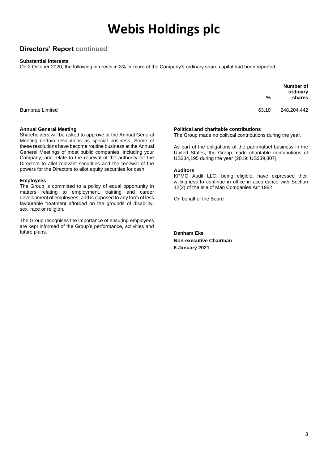### **Directors' Report continued**

#### **Substantial interests**

On 2 October 2020, the following interests in 3% or more of the Company's ordinary share capital had been reported:

|                         | %     | Number of<br>ordinary<br>shares |
|-------------------------|-------|---------------------------------|
| <b>Burnbrae Limited</b> | 63.10 | 248,204,442                     |

#### **Annual General Meeting**

Shareholders will be asked to approve at the Annual General Meeting certain resolutions as special business. Some of these resolutions have become routine business at the Annual General Meetings of most public companies, including your Company, and relate to the renewal of the authority for the Directors to allot relevant securities and the renewal of the powers for the Directors to allot equity securities for cash.

#### **Employees**

The Group is committed to a policy of equal opportunity in matters relating to employment, training and career development of employees, and is opposed to any form of less favourable treatment afforded on the grounds of disability, sex, race or religion.

The Group recognises the importance of ensuring employees are kept informed of the Group's performance, activities and future plans.

#### **Political and charitable contributions**

The Group made no political contributions during the year.

As part of the obligations of the pari-mutuel business in the United States, the Group made charitable contributions of US\$34,195 during the year (2019: US\$39,807).

#### **Auditors**

KPMG Audit LLC, being eligible, have expressed their willingness to continue in office in accordance with Section 12(2) of the Isle of Man Companies Act 1982.

On behalf of the Board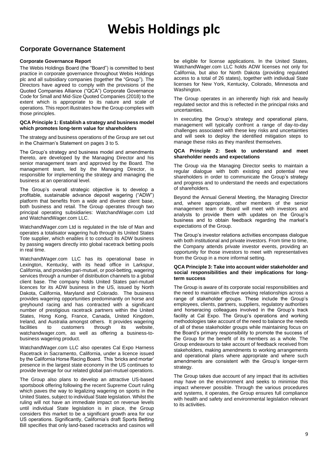### **Corporate Governance Statement**

#### **Corporate Governance Report**

The Webis Holdings Board (the "Board") is committed to best practice in corporate governance throughout Webis Holdings plc and all subsidiary companies (together the "Group"). The Directors have agreed to comply with the provisions of the Quoted Companies Alliance ("QCA") Corporate Governance Code for Small and Mid-Size Quoted Companies (2018) to the extent which is appropriate to its nature and scale of operations. This report illustrates how the Group complies with those principles.

#### **QCA Principle 1: Establish a strategy and business model which promotes long-term value for shareholders**

The strategy and business operations of the Group are set out in the Chairman's Statement on pages 3 to 5.

The Group's strategy and business model and amendments thereto, are developed by the Managing Director and his senior management team and approved by the Board. The management team, led by the Managing Director, is responsible for implementing the strategy and managing the business at an operational level.

The Group's overall strategic objective is to develop a profitable, sustainable advance deposit wagering ("ADW") platform that benefits from a wide and diverse client base, both business and retail. The Group operates through two principal operating subsidiaries: WatchandWager.com Ltd and WatchandWager.com LLC.

WatchandWager.com Ltd is regulated in the Isle of Man and operates a totalisator wagering hub through its United States Tote supplier, which enables it to conduct its ADW business by passing wagers directly into global racetrack betting pools in real time.

WatchandWager.com LLC has its operational base in Lexington, Kentucky, with its head office in Larkspur, California, and provides pari-mutuel, or pool-betting, wagering services through a number of distribution channels to a global client base. The company holds United States pari-mutuel licences for its ADW business in the US, issued by North Dakota, California, Maryland and Colorado. The business provides wagering opportunities predominantly on horse and greyhound racing and has contracted with a significant number of prestigious racetrack partners within the United States, Hong Kong, France, Canada, United Kingdom, Ireland, and Australia amongst others. It provides wagering facilities to customers through its website, watchandwager.com, as well as offering a business-tobusiness wagering product.

WatchandWager.com LLC also operates Cal Expo Harness Racetrack in Sacramento, California, under a licence issued by the California Horse Racing Board. This 'bricks and mortar' presence in the largest state economy in the US continues to provide leverage for our related global pari-mutuel operations.

The Group also plans to develop an attractive US-based sportsbook offering following the recent Supreme Court ruling which paves the way to legalizing wagering on sports in the United States, subject to individual State legislation. Whilst the ruling will not have an immediate impact on revenue levels until individual State legislation is in place, the Group considers this market to be a significant growth area for our US operations. Significantly, California's draft Sports Betting Bill specifies that only land-based racetracks and casinos will

be eligible for license applications. In the United States, WatchandWager.com LLC holds ADW licenses not only for California, but also for North Dakota (providing regulated access to a total of 26 states), together with individual State licenses for New York, Kentucky, Colorado, Minnesota and Washington.

The Group operates in an inherently high risk and heavily regulated sector and this is reflected in the principal risks and uncertainties.

In executing the Group's strategy and operational plans, management will typically confront a range of day-to-day challenges associated with these key risks and uncertainties and will seek to deploy the identified mitigation steps to manage these risks as they manifest themselves.

#### **QCA Principle 2: Seek to understand and meet shareholder needs and expectations**

The Group via the Managing Director seeks to maintain a regular dialogue with both existing and potential new shareholders in order to communicate the Group's strategy and progress and to understand the needs and expectations of shareholders.

Beyond the Annual General Meeting, the Managing Director and, where appropriate, other members of the senior management team or Board will meet with investors and analysts to provide them with updates on the Group's business and to obtain feedback regarding the market's expectations of the Group.

The Group's investor relations activities encompass dialogue with both institutional and private investors. From time to time, the Company attends private investor events, providing an opportunity for those investors to meet with representatives from the Group in a more informal setting.

#### **QCA Principle 3: Take into account wider stakeholder and social responsibilities and their implications for longterm success**

The Group is aware of its corporate social responsibilities and the need to maintain effective working relationships across a range of stakeholder groups. These include the Group's employees, clients, partners, suppliers, regulatory authorities and horseracing colleagues involved in the Group's track facility at Cal Expo. The Group's operations and working methodologies take account of the need to balance the needs of all of these stakeholder groups while maintaining focus on the Board's primary responsibility to promote the success of the Group for the benefit of its members as a whole. The Group endeavours to take account of feedback received from stakeholders, making amendments to working arrangements and operational plans where appropriate and where such amendments are consistent with the Group's longer-term strategy.

The Group takes due account of any impact that its activities may have on the environment and seeks to minimise this impact wherever possible. Through the various procedures and systems, it operates, the Group ensures full compliance with health and safety and environmental legislation relevant to its activities.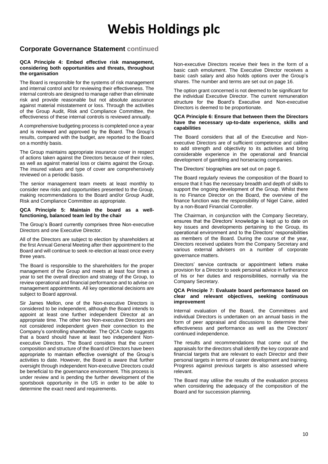### **Corporate Governance Statement continued**

#### **QCA Principle 4: Embed effective risk management, considering both opportunities and threats, throughout the organisation**

The Board is responsible for the systems of risk management and internal control and for reviewing their effectiveness. The internal controls are designed to manage rather than eliminate risk and provide reasonable but not absolute assurance against material misstatement or loss. Through the activities of the Group Audit, Risk and Compliance Committee, the effectiveness of these internal controls is reviewed annually.

A comprehensive budgeting process is completed once a year and is reviewed and approved by the Board. The Group's results, compared with the budget, are reported to the Board on a monthly basis.

The Group maintains appropriate insurance cover in respect of actions taken against the Directors because of their roles, as well as against material loss or claims against the Group. The insured values and type of cover are comprehensively reviewed on a periodic basis.

The senior management team meets at least monthly to consider new risks and opportunities presented to the Group, making recommendations to the Board and/or Group Audit, Risk and Compliance Committee as appropriate.

#### **QCA Principle 5: Maintain the board as a wellfunctioning, balanced team led by the chair**

The Group's Board currently comprises three Non-executive Directors and one Executive Director.

All of the Directors are subject to election by shareholders at the first Annual General Meeting after their appointment to the Board and will continue to seek re-election at least once every three years.

The Board is responsible to the shareholders for the proper management of the Group and meets at least four times a year to set the overall direction and strategy of the Group, to review operational and financial performance and to advise on management appointments. All key operational decisions are subject to Board approval.

Sir James Mellon, one of the Non-executive Directors is considered to be independent, although the Board intends to appoint at least one further independent Director at an appropriate time. The other two Non-executive Directors are not considered independent given their connection to the Company's controlling shareholder. The QCA Code suggests that a board should have at least two independent Nonexecutive Directors. The Board considers that the current composition and structure of the Board of Directors have been appropriate to maintain effective oversight of the Group's activities to date. However, the Board is aware that further oversight through independent Non-executive Directors could be beneficial to the governance environment. This process is under review and is pending the further development of the sportsbook opportunity in the US in order to be able to determine the exact need and requirements.

Non-executive Directors receive their fees in the form of a basic cash emolument. The Executive Director receives a basic cash salary and also holds options over the Group's shares. The number and terms are set out on page 16.

The option grant concerned is not deemed to be significant for the individual Executive Director. The current remuneration structure for the Board's Executive and Non-executive Directors is deemed to be proportionate.

#### **QCA Principle 6: Ensure that between them the Directors have the necessary up-to-date experience, skills and capabilities**

The Board considers that all of the Executive and Nonexecutive Directors are of sufficient competence and calibre to add strength and objectivity to its activities and bring considerable experience in the operational and financial development of gambling and horseracing companies.

The Directors' biographies are set out on page 6.

The Board regularly reviews the composition of the Board to ensure that it has the necessary breadth and depth of skills to support the ongoing development of the Group. Whilst there is no Finance Director on the Board, the overview of the finance function was the responsibility of Nigel Caine, aided by a non-Board Financial Controller.

The Chairman, in conjunction with the Company Secretary, ensures that the Directors' knowledge is kept up to date on key issues and developments pertaining to the Group, its operational environment and to the Directors' responsibilities as members of the Board. During the course of the year, Directors received updates from the Company Secretary and various external advisers on a number of corporate governance matters.

Directors' service contracts or appointment letters make provision for a Director to seek personal advice in furtherance of his or her duties and responsibilities, normally via the Company Secretary.

#### **QCA Principle 7: Evaluate board performance based on clear and relevant objectives, seeking continuous improvement**

Internal evaluation of the Board, the Committees and individual Directors is undertaken on an annual basis in the form of peer appraisal and discussions to determine their effectiveness and performance as well as the Directors' continued independence.

The results and recommendations that come out of the appraisals for the directors shall identify the key corporate and financial targets that are relevant to each Director and their personal targets in terms of career development and training. Progress against previous targets is also assessed where relevant.

The Board may utilise the results of the evaluation process when considering the adequacy of the composition of the Board and for succession planning.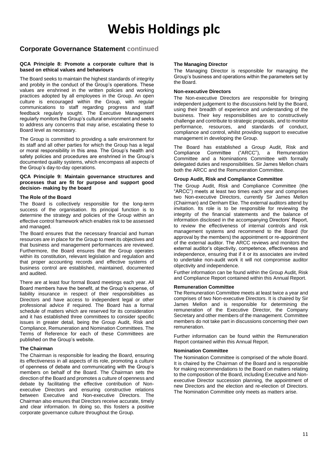### **Corporate Governance Statement continued**

#### **QCA Principle 8: Promote a corporate culture that is based on ethical values and behaviours**

The Board seeks to maintain the highest standards of integrity and probity in the conduct of the Group's operations. These values are enshrined in the written policies and working practices adopted by all employees in the Group. An open culture is encouraged within the Group, with regular communications to staff regarding progress and staff feedback regularly sought. The Executive Management regularly monitors the Group's cultural environment and seeks to address any concerns that may arise, escalating these to Board level as necessary.

The Group is committed to providing a safe environment for its staff and all other parties for which the Group has a legal or moral responsibility in this area. The Group's health and safety policies and procedures are enshrined in the Group's documented quality systems, which encompass all aspects of the Group's day-to-day operations.

#### **QCA Principle 9: Maintain governance structures and processes that are fit for purpose and support good decision- making by the board**

#### **The Role of the Board**

The Board is collectively responsible for the long-term success of the organisation. Its principal function is to determine the strategy and policies of the Group within an effective control framework which enables risk to be assessed and managed.

The Board ensures that the necessary financial and human resources are in place for the Group to meet its objectives and that business and management performances are reviewed. Furthermore, the Board ensures that the Group operates within its constitution, relevant legislation and regulation and that proper accounting records and effective systems of business control are established, maintained, documented and audited.

There are at least four formal Board meetings each year. All Board members have the benefit, at the Group's expense, of liability insurance in respect of their responsibilities as Directors and have access to independent legal or other professional advice if required. The Board has a formal schedule of matters which are reserved for its consideration and it has established three committees to consider specific issues in greater detail, being the Group Audit, Risk and Compliance, Remuneration and Nomination Committees. The Terms of Reference for each of these Committees are published on the Group's website.

#### **The Chairman**

The Chairman is responsible for leading the Board, ensuring its effectiveness in all aspects of its role, promoting a culture of openness of debate and communicating with the Group's members on behalf of the Board. The Chairman sets the direction of the Board and promotes a culture of openness and debate by facilitating the effective contribution of Nonexecutive Directors and ensuring constructive relations between Executive and Non-executive Directors. The Chairman also ensures that Directors receive accurate, timely and clear information. In doing so, this fosters a positive corporate governance culture throughout the Group.

#### **The Managing Director**

The Managing Director is responsible for managing the Group's business and operations within the parameters set by the Board.

#### **Non-executive Directors**

The Non-executive Directors are responsible for bringing independent judgement to the discussions held by the Board, using their breadth of experience and understanding of the business. Their key responsibilities are to constructively challenge and contribute to strategic proposals, and to monitor performance, resources, and standards of conduct, compliance and control, whilst providing support to executive management in developing the Group.

The Board has established a Group Audit, Risk and Compliance Committee ("ARCC"), a Remuneration Committee and a Nominations Committee with formally delegated duties and responsibilities. Sir James Mellon chairs both the ARCC and the Remuneration Committee.

#### **Group Audit, Risk and Compliance Committee**

The Group Audit, Risk and Compliance Committee (the "ARCC") meets at least two times each year and comprises two Non-executive Directors, currently Sir James Mellon (Chairman) and Denham Eke. The external auditors attend by invitation. Its role is to be responsible for reviewing the integrity of the financial statements and the balance of information disclosed in the accompanying Directors' Report, to review the effectiveness of internal controls and risk management systems and recommend to the Board (for approval by the members) the appointment or re-appointment of the external auditor. The ARCC reviews and monitors the external auditor's objectivity, competence, effectiveness and independence, ensuring that if it or its associates are invited to undertake non-audit work it will not compromise auditor objectivity and independence.

Further information can be found within the Group Audit, Risk and Compliance Report contained within this Annual Report.

#### **Remuneration Committee**

The Remuneration Committee meets at least twice a year and comprises of two Non-executive Directors. It is chaired by Sir James Mellon and is responsible for determining the remuneration of the Executive Director, the Company Secretary and other members of the management. Committee members do not take part in discussions concerning their own remuneration.

Further information can be found within the Remuneration Report contained within this Annual Report.

#### **Nomination Committee**

The Nomination Committee is comprised of the whole Board. It is chaired by the Chairman of the Board and is responsible for making recommendations to the Board on matters relating to the composition of the Board, including Executive and Nonexecutive Director succession planning, the appointment of new Directors and the election and re-election of Directors. The Nomination Committee only meets as matters arise.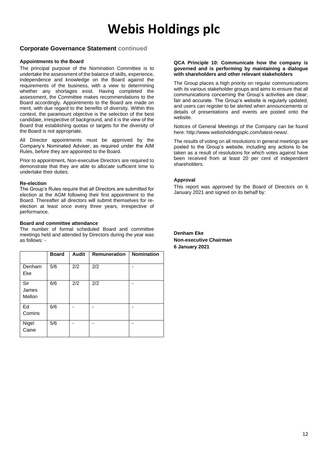### **Corporate Governance Statement continued**

#### **Appointments to the Board**

The principal purpose of the Nomination Committee is to undertake the assessment of the balance of skills, experience, independence and knowledge on the Board against the requirements of the business, with a view to determining whether any shortages exist. Having completed the assessment, the Committee makes recommendations to the Board accordingly. Appointments to the Board are made on merit, with due regard to the benefits of diversity. Within this context, the paramount objective is the selection of the best candidate, irrespective of background, and it is the view of the Board that establishing quotas or targets for the diversity of the Board is not appropriate.

All Director appointments must be approved by the Company's Nominated Adviser, as required under the AIM Rules, before they are appointed to the Board.

Prior to appointment, Non-executive Directors are required to demonstrate that they are able to allocate sufficient time to undertake their duties.

#### **Re-election**

The Group's Rules require that all Directors are submitted for election at the AGM following their first appointment to the Board. Thereafter all directors will submit themselves for reelection at least once every three years, irrespective of performance.

#### **Board and committee attendance**

The number of formal scheduled Board and committee meetings held and attended by Directors during the year was as follows: -

|                        | <b>Board</b> | <b>Audit</b> | <b>Remuneration</b> | <b>Nomination</b> |
|------------------------|--------------|--------------|---------------------|-------------------|
| Denham<br>Eke          | 5/6          | 2/2          | 2/2                 |                   |
| Sir<br>James<br>Mellon | 6/6          | 2/2          | 2/2                 |                   |
| Ed<br>Comins           | 6/6          |              |                     |                   |
| Nigel<br>Caine         | 5/6          |              |                     |                   |

#### **QCA Principle 10: Communicate how the company is governed and is performing by maintaining a dialogue with shareholders and other relevant stakeholders**

The Group places a high priority on regular communications with its various stakeholder groups and aims to ensure that all communications concerning the Group's activities are clear, fair and accurate. The Group's website is regularly updated, and users can register to be alerted when announcements or details of presentations and events are posted onto the website.

Notices of General Meetings of the Company can be found here: http://www.webisholdingsplc.com/latest-news/.

The results of voting on all resolutions in general meetings are posted to the Group's website, including any actions to be taken as a result of resolutions for which votes against have been received from at least 20 per cent of independent shareholders.

#### **Approval**

This report was approved by the Board of Directors on 6 January 2021 and signed on its behalf by: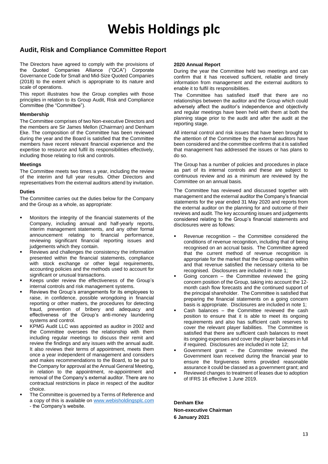### **Audit, Risk and Compliance Committee Report**

The Directors have agreed to comply with the provisions of the Quoted Companies Alliance ("QCA") Corporate Governance Code for Small and Mid-Size Quoted Companies (2018) to the extent which is appropriate to its nature and scale of operations.

This report illustrates how the Group complies with those principles in relation to its Group Audit, Risk and Compliance Committee (the "Committee").

#### **Membership**

The Committee comprises of two Non-executive Directors and the members are Sir James Mellon (Chairman) and Denham Eke. The composition of the Committee has been reviewed during the year and the Board is satisfied that the Committee members have recent relevant financial experience and the expertise to resource and fulfil its responsibilities effectively, including those relating to risk and controls.

#### **Meetings**

The Committee meets two times a year, including the review of the interim and full year results. Other Directors and representatives from the external auditors attend by invitation.

#### **Duties**

The Committee carries out the duties below for the Company and the Group as a whole, as appropriate:

- Monitors the integrity of the financial statements of the Company, including annual and half-yearly reports, interim management statements, and any other formal announcement relating to financial performance, reviewing significant financial reporting issues and judgements which they contain.
- Reviews and challenges the consistency the information presented within the financial statements, compliance with stock exchange or other legal requirements, accounting policies and the methods used to account for significant or unusual transactions.
- Keeps under review the effectiveness of the Group's internal controls and risk management systems.
- Reviews the Group's arrangements for its employees to raise, in confidence, possible wrongdoing in financial reporting or other matters, the procedures for detecting fraud, prevention of bribery and adequacy and effectiveness of the Group's anti-money laundering systems and control.
- KPMG Audit LLC was appointed as auditor in 2002 and the Committee oversees the relationship with them including regular meetings to discuss their remit and review the findings and any issues with the annual audit. It also reviews their terms of appointment, meets them once a year independent of management and considers and makes recommendations to the Board, to be put to the Company for approval at the Annual General Meeting, in relation to the appointment, re-appointment and removal of the Company's external auditor. There are no contractual restrictions in place in respect of the auditor choice.
- The Committee is governed by a Terms of Reference and a copy of this is available on [www.webisholdingsplc.com](http://www.webisholdingsplc.com/) - the Company's website.

#### **2020 Annual Report**

During the year the Committee held two meetings and can confirm that it has received sufficient, reliable and timely information from management and the external auditors to enable it to fulfil its responsibilities.

The Committee has satisfied itself that there are no relationships between the auditor and the Group which could adversely affect the auditor's independence and objectivity and regular meetings have been held with them at both the planning stage prior to the audit and after the audit at the reporting stage.

All internal control and risk issues that have been brought to the attention of the Committee by the external auditors have been considered and the committee confirms that it is satisfied that management has addressed the issues or has plans to do so.

The Group has a number of policies and procedures in place as part of its internal controls and these are subject to continuous review and as a minimum are reviewed by the Committee on an annual basis.

The Committee has reviewed and discussed together with management and the external auditor the Company's financial statements for the year ended 31 May 2020 and reports from the external auditor on the planning for and outcome of their reviews and audit. The key accounting issues and judgements considered relating to the Group's financial statements and disclosures were as follows:

- Revenue recognition  $-$  the Committee considered the conditions of revenue recognition, including that of being recognised on an accrual basis. The Committee agreed that the current method of revenue recognition is appropriate for the market that the Group operates within and that revenue satisfied the necessary criteria to be recognised. Disclosures are included in note 1;
- Going concern  $-$  the Committee reviewed the going concern position of the Group, taking into account the 12 month cash flow forecasts and the continued support of the principal shareholder. The Committee is satisfied that preparing the financial statements on a going concern basis is appropriate. Disclosures are included in note 1;
- Cash balances  $-$  the Committee reviewed the cash position to ensure that it is able to meet its ongoing requirements and also has sufficient cash reserves to cover the relevant player liabilities. The Committee is satisfied that there are sufficient cash balances to meet its ongoing expenses and cover the player balances in full if required. Disclosures are included in note 12;
- Government grant the Committee reviewed the Government loan received during the financial year to ensure the forgiveness terms provided reasonable assurance it could be classed as a government grant; and
- Reviewed changes to treatment of leases due to adoption of IFRS 16 effective 1 June 2019.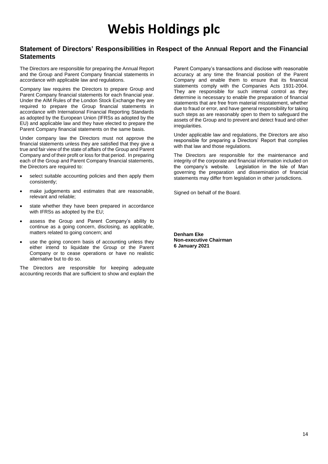### **Statement of Directors' Responsibilities in Respect of the Annual Report and the Financial Statements**

The Directors are responsible for preparing the Annual Report and the Group and Parent Company financial statements in accordance with applicable law and regulations.

Company law requires the Directors to prepare Group and Parent Company financial statements for each financial year. Under the AIM Rules of the London Stock Exchange they are required to prepare the Group financial statements in accordance with International Financial Reporting Standards as adopted by the European Union (IFRSs as adopted by the EU) and applicable law and they have elected to prepare the Parent Company financial statements on the same basis.

Under company law the Directors must not approve the financial statements unless they are satisfied that they give a true and fair view of the state of affairs of the Group and Parent Company and of their profit or loss for that period. In preparing each of the Group and Parent Company financial statements, the Directors are required to:

- select suitable accounting policies and then apply them consistently;
- make judgements and estimates that are reasonable, relevant and reliable;
- state whether they have been prepared in accordance with IFRSs as adopted by the EU;
- assess the Group and Parent Company's ability to continue as a going concern, disclosing, as applicable, matters related to going concern; and
- use the going concern basis of accounting unless they either intend to liquidate the Group or the Parent Company or to cease operations or have no realistic alternative but to do so.

The Directors are responsible for keeping adequate accounting records that are sufficient to show and explain the

Parent Company's transactions and disclose with reasonable accuracy at any time the financial position of the Parent Company and enable them to ensure that its financial statements comply with the Companies Acts 1931-2004. They are responsible for such internal control as they determine is necessary to enable the preparation of financial statements that are free from material misstatement, whether due to fraud or error, and have general responsibility for taking such steps as are reasonably open to them to safeguard the assets of the Group and to prevent and detect fraud and other irregularities.

Under applicable law and regulations, the Directors are also responsible for preparing a Directors' Report that complies with that law and those regulations.

The Directors are responsible for the maintenance and integrity of the corporate and financial information included on the company's website. Legislation in the Isle of Man governing the preparation and dissemination of financial statements may differ from legislation in other jurisdictions.

Signed on behalf of the Board.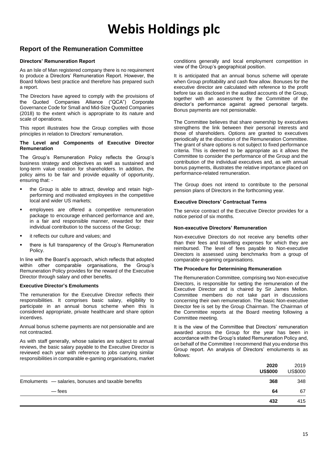### **Report of the Remuneration Committee**

#### **Directors' Remuneration Report**

As an Isle of Man registered company there is no requirement to produce a Directors' Remuneration Report. However, the Board follows best practice and therefore has prepared such a report.

The Directors have agreed to comply with the provisions of the Quoted Companies Alliance ("QCA") Corporate Governance Code for Small and Mid-Size Quoted Companies (2018) to the extent which is appropriate to its nature and scale of operations.

This report illustrates how the Group complies with those principles in relation to Directors' remuneration.

#### **The Level and Components of Executive Director Remuneration**

The Group's Remuneration Policy reflects the Group's business strategy and objectives as well as sustained and long-term value creation for shareholders. In addition, the policy aims to be fair and provide equality of opportunity, ensuring that: -

- the Group is able to attract, develop and retain highperforming and motivated employees in the competitive local and wider US markets;
- employees are offered a competitive remuneration package to encourage enhanced performance and are, in a fair and responsible manner, rewarded for their individual contribution to the success of the Group;
- it reflects our culture and values; and
- there is full transparency of the Group's Remuneration Policy.

In line with the Board's approach, which reflects that adopted within other comparable organisations, the Group's Remuneration Policy provides for the reward of the Executive Director through salary and other benefits.

#### **Executive Director's Emoluments**

The remuneration for the Executive Director reflects their responsibilities. It comprises basic salary, eligibility to participate in an annual bonus scheme when this is considered appropriate, private healthcare and share option incentives.

Annual bonus scheme payments are not pensionable and are not contracted.

As with staff generally, whose salaries are subject to annual reviews, the basic salary payable to the Executive Director is reviewed each year with reference to jobs carrying similar responsibilities in comparable e-gaming organisations, market

conditions generally and local employment competition in view of the Group's geographical position.

It is anticipated that an annual bonus scheme will operate when Group profitability and cash flow allow. Bonuses for the executive director are calculated with reference to the profit before tax as disclosed in the audited accounts of the Group, together with an assessment by the Committee of the director's performance against agreed personal targets. Bonus payments are not pensionable.

The Committee believes that share ownership by executives strengthens the link between their personal interests and those of shareholders. Options are granted to executives periodically at the discretion of the Remuneration Committee. The grant of share options is not subject to fixed performance criteria. This is deemed to be appropriate as it allows the Committee to consider the performance of the Group and the contribution of the individual executives and, as with annual bonus payments, illustrates the relative importance placed on performance-related remuneration.

The Group does not intend to contribute to the personal pension plans of Directors in the forthcoming year.

#### **Executive Directors' Contractual Terms**

The service contract of the Executive Director provides for a notice period of six months.

#### **Non-executive Directors' Remuneration**

Non-executive Directors do not receive any benefits other than their fees and travelling expenses for which they are reimbursed. The level of fees payable to Non-executive Directors is assessed using benchmarks from a group of comparable e-gaming organisations.

#### **The Procedure for Determining Remuneration**

The Remuneration Committee, comprising two Non-executive Directors, is responsible for setting the remuneration of the Executive Director and is chaired by Sir James Mellon. Committee members do not take part in discussions concerning their own remuneration. The basic Non-executive Director fee is set by the Group Chairman. The Chairman of the Committee reports at the Board meeting following a Committee meeting.

It is the view of the Committee that Directors' remuneration awarded across the Group for the year has been in accordance with the Group's stated Remuneration Policy and, on behalf of the Committee I recommend that you endorse this Group report. An analysis of Directors' emoluments is as follows:

|                                                     | 2020<br><b>US\$000</b> | 2019<br><b>US\$000</b> |
|-----------------------------------------------------|------------------------|------------------------|
| Emoluments - salaries, bonuses and taxable benefits | 368                    | 348                    |
| — fees                                              | 64                     | 67                     |
|                                                     | 432                    | 415                    |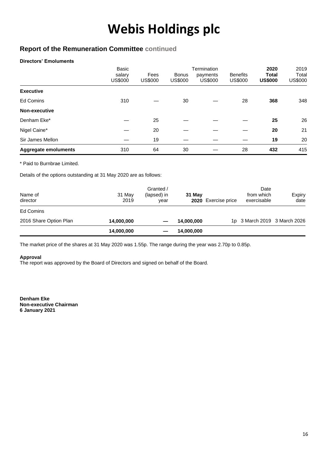## **Report of the Remuneration Committee continued**

#### **Directors' Emoluments**

|                             | Basic<br>salary<br><b>US\$000</b> | Fees<br><b>US\$000</b> | <b>Bonus</b><br>US\$000 | Termination<br>payments<br><b>US\$000</b> | <b>Benefits</b><br><b>US\$000</b> | 2020<br><b>Total</b><br><b>US\$000</b> | 2019<br>Total<br><b>US\$000</b> |
|-----------------------------|-----------------------------------|------------------------|-------------------------|-------------------------------------------|-----------------------------------|----------------------------------------|---------------------------------|
| <b>Executive</b>            |                                   |                        |                         |                                           |                                   |                                        |                                 |
| <b>Ed Comins</b>            | 310                               |                        | 30                      |                                           | 28                                | 368                                    | 348                             |
| Non-executive               |                                   |                        |                         |                                           |                                   |                                        |                                 |
| Denham Eke*                 |                                   | 25                     |                         |                                           |                                   | 25                                     | 26                              |
| Nigel Caine*                |                                   | 20                     |                         |                                           |                                   | 20                                     | 21                              |
| Sir James Mellon            |                                   | 19                     |                         |                                           |                                   | 19                                     | 20                              |
| <b>Aggregate emoluments</b> | 310                               | 64                     | 30                      |                                           | 28                                | 432                                    | 415                             |

\* Paid to Burnbrae Limited.

Details of the options outstanding at 31 May 2020 are as follows:

| Name of<br>director    | 31 May<br>2019 | Granted /<br>(lapsed) in<br>vear | 31 May<br>2020 | Exercise price | Date<br>from which<br>exercisable | Expiry<br>date |
|------------------------|----------------|----------------------------------|----------------|----------------|-----------------------------------|----------------|
| Ed Comins              |                |                                  |                |                |                                   |                |
| 2016 Share Option Plan | 14,000,000     |                                  | 14,000,000     |                | 1p 3 March 2019 3 March 2026      |                |
|                        | 14,000,000     |                                  | 14,000,000     |                |                                   |                |

The market price of the shares at 31 May 2020 was 1.55p. The range during the year was 2.70p to 0.85p.

#### **Approval**

The report was approved by the Board of Directors and signed on behalf of the Board.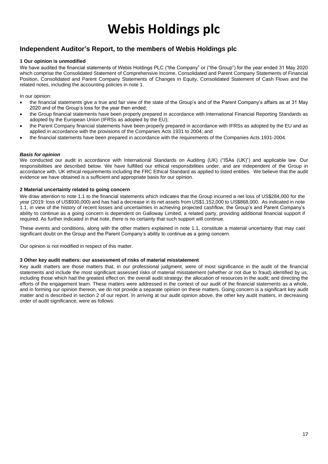### **Independent Auditor's Report, to the members of Webis Holdings plc**

#### **1 Our opinion is unmodified**

We have audited the financial statements of Webis Holdings PLC ("the Company" or ("the Group") for the year ended 31 May 2020 which comprise the Consolidated Statement of Comprehensive Income, Consolidated and Parent Company Statements of Financial Position, Consolidated and Parent Company Statements of Changes in Equity, Consolidated Statement of Cash Flows and the related notes, including the accounting policies in note 1.

In our opinion:

- the financial statements give a true and fair view of the state of the Group's and of the Parent Company's affairs as at 31 May 2020 and of the Group's loss for the year then ended;
- the Group financial statements have been properly prepared in accordance with International Financial Reporting Standards as adopted by the European Union (IFRSs as adopted by the EU);
- the Parent Company financial statements have been properly prepared in accordance with IFRSs as adopted by the EU and as applied in accordance with the provisions of the Companies Acts 1931 to 2004; and
- the financial statements have been prepared in accordance with the requirements of the Companies Acts 1931-2004.

#### *Basis for opinion*

We conducted our audit in accordance with International Standards on Auditing (UK) ("ISAs (UK)") and applicable law. Our responsibilities are described below. We have fulfilled our ethical responsibilities under, and are independent of the Group in accordance with, UK ethical requirements including the FRC Ethical Standard as applied to listed entities. We believe that the audit evidence we have obtained is a sufficient and appropriate basis for our opinion.

#### **2 Material uncertainty related to going concern**

We draw attention to note 1.1 to the financial statements which indicates that the Group incurred a net loss of US\$284,000 for the year (2019: loss of US\$930,000) and has had a decrease in its net assets from US\$1,152,000 to US\$868,000. As indicated in note 1.1, in view of the history of recent losses and uncertainties in achieving projected cashflow, the Group's and Parent Company's ability to continue as a going concern is dependent on Galloway Limited, a related party, providing additional financial support if required. As further indicated in that note, there is no certainty that such support will continue.

These events and conditions, along with the other matters explained in note 1.1, constitute a material uncertainty that may cast significant doubt on the Group and the Parent Company's ability to continue as a going concern.

Our opinion is not modified in respect of this matter.

#### **3 Other key audit matters: our assessment of risks of material misstatement**

Key audit matters are those matters that, in our professional judgment, were of most significance in the audit of the financial statements and include the most significant assessed risks of material misstatement (whether or not due to fraud) identified by us, including those which had the greatest effect on: the overall audit strategy; the allocation of resources in the audit; and directing the efforts of the engagement team. These matters were addressed in the context of our audit of the financial statements as a whole, and in forming our opinion thereon, we do not provide a separate opinion on these matters. Going concern is a significant key audit matter and is described in section 2 of our report. In arriving at our audit opinion above, the other key audit matters, in decreasing order of audit significance, were as follows: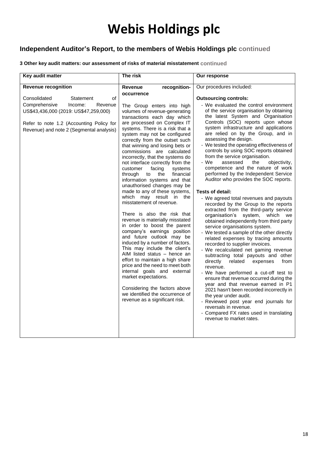# **Independent Auditor's Report, to the members of Webis Holdings plc continued**

### **3 Other key audit matters: our assessment of risks of material misstatement continued**

| Key audit matter                                                                                                                                                                                        | The risk                                                                                                                                                                                                                                                                                                                                                                                                                                                                                                                                                                                                                                                                                                                                                                                                                                                                                                                                                                                                                                                                                                                | Our response                                                                                                                                                                                                                                                                                                                                                                                                                                                                                                                                                                                                                                                                                                                                                                                                                                                                                                                                                                                                                                                                                                                                                                                                                                                                                                                                                                                                                                                                    |
|---------------------------------------------------------------------------------------------------------------------------------------------------------------------------------------------------------|-------------------------------------------------------------------------------------------------------------------------------------------------------------------------------------------------------------------------------------------------------------------------------------------------------------------------------------------------------------------------------------------------------------------------------------------------------------------------------------------------------------------------------------------------------------------------------------------------------------------------------------------------------------------------------------------------------------------------------------------------------------------------------------------------------------------------------------------------------------------------------------------------------------------------------------------------------------------------------------------------------------------------------------------------------------------------------------------------------------------------|---------------------------------------------------------------------------------------------------------------------------------------------------------------------------------------------------------------------------------------------------------------------------------------------------------------------------------------------------------------------------------------------------------------------------------------------------------------------------------------------------------------------------------------------------------------------------------------------------------------------------------------------------------------------------------------------------------------------------------------------------------------------------------------------------------------------------------------------------------------------------------------------------------------------------------------------------------------------------------------------------------------------------------------------------------------------------------------------------------------------------------------------------------------------------------------------------------------------------------------------------------------------------------------------------------------------------------------------------------------------------------------------------------------------------------------------------------------------------------|
| <b>Revenue recognition</b>                                                                                                                                                                              | Revenue<br>recognition-                                                                                                                                                                                                                                                                                                                                                                                                                                                                                                                                                                                                                                                                                                                                                                                                                                                                                                                                                                                                                                                                                                 | Our procedures included:                                                                                                                                                                                                                                                                                                                                                                                                                                                                                                                                                                                                                                                                                                                                                                                                                                                                                                                                                                                                                                                                                                                                                                                                                                                                                                                                                                                                                                                        |
| Consolidated<br>Statement<br>οf<br>Comprehensive<br>Income:<br>Revenue<br>US\$43,436,000 (2019: US\$47,259,000)<br>Refer to note 1.2 (Accounting Policy for<br>Revenue) and note 2 (Segmental analysis) | occurrence<br>The Group enters into high<br>volumes of revenue-generating<br>transactions each day which<br>are processed on Complex IT<br>systems. There is a risk that a<br>system may not be configured<br>correctly from the outset such<br>that winning and losing bets or<br>commissions are calculated<br>incorrectly, that the systems do<br>not interface correctly from the<br>customer<br>facing<br>systems<br>financial<br>through<br>to<br>the<br>information systems and that<br>unauthorised changes may be<br>made to any of these systems,<br>which may result in the<br>misstatement of revenue.<br>There is also the risk that<br>revenue is materially misstated<br>in order to boost the parent<br>company's earnings position<br>and future outlook may be<br>induced by a number of factors.<br>This may include the client's<br>AIM listed status - hence an<br>effort to maintain a high share<br>price and the need to meet both<br>internal goals and external<br>market expectations.<br>Considering the factors above<br>we identified the occurrence of<br>revenue as a significant risk. | <b>Outsourcing controls:</b><br>- We evaluated the control environment<br>of the service organisation by obtaining<br>the latest System and Organisation<br>Controls (SOC) reports upon whose<br>system infrastructure and applications<br>are relied on by the Group, and in<br>assessing the design.<br>- We tested the operating effectiveness of<br>controls by using SOC reports obtained<br>from the service organisation.<br>- We<br>objectivity,<br>assessed<br>the<br>competence and the nature of work<br>performed by the Independent Service<br>Auditor who provides the SOC reports.<br><b>Tests of detail:</b><br>- We agreed total revenues and payouts<br>recorded by the Group to the reports<br>extracted from the third-party service<br>organisation's system,<br>which we<br>obtained independently from third party<br>service organisations system.<br>- We tested a sample of the other directly<br>related expenses by tracing amounts<br>recorded to supplier invoices.<br>- We recalculated net gaming revenue<br>subtracting total payouts and other<br>directly<br>related<br>expenses<br>from<br>revenue.<br>- We have performed a cut-off test to<br>ensure that revenue occurred during the<br>year and that revenue earned in P1<br>2021 hasn't been recorded incorrectly in<br>the year under audit.<br>- Reviewed post year end journals for<br>reversals in revenue.<br>- Compared FX rates used in translating<br>revenue to market rates. |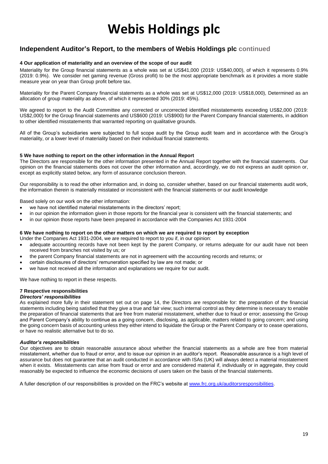### **Independent Auditor's Report, to the members of Webis Holdings plc continued**

#### **4 Our application of materiality and an overview of the scope of our audit**

Materiality for the Group financial statements as a whole was set at US\$41,000 (2019: US\$40,000), of which it represents 0.9% (2019: 0.9%). We consider net gaming revenue (Gross profit) to be the most appropriate benchmark as it provides a more stable measure year on year than Group profit before tax.

Materiality for the Parent Company financial statements as a whole was set at US\$12,000 (2019: US\$18,000), Determined as an allocation of group materiality as above, of which it represented 30% (2019: 45%).

We agreed to report to the Audit Committee any corrected or uncorrected identified misstatements exceeding US\$2,000 (2019: US\$2,000) for the Group financial statements and US\$600 (2019: US\$900) for the Parent Company financial statements, in addition to other identified misstatements that warranted reporting on qualitative grounds.

All of the Group's subsidiaries were subjected to full scope audit by the Group audit team and in accordance with the Group's materiality, or a lower level of materiality based on their individual financial statements.

#### **5 We have nothing to report on the other information in the Annual Report**

The Directors are responsible for the other information presented in the Annual Report together with the financial statements. Our opinion on the financial statements does not cover the other information and, accordingly, we do not express an audit opinion or, except as explicitly stated below, any form of assurance conclusion thereon.

Our responsibility is to read the other information and, in doing so, consider whether, based on our financial statements audit work, the information therein is materially misstated or inconsistent with the financial statements or our audit knowledge

Based solely on our work on the other information:

- we have not identified material misstatements in the directors' report;
- in our opinion the information given in those reports for the financial year is consistent with the financial statements; and
- in our opinion those reports have been prepared in accordance with the Companies Act 1931-2004

#### **6 We have nothing to report on the other matters on which we are required to report by exception**

- Under the Companies Act 1931-2004, we are required to report to you if, in our opinion: adequate accounting records have not been kept by the parent Company, or returns adequate for our audit have not been received from branches not visited by us; or
- the parent Company financial statements are not in agreement with the accounting records and returns; or
- certain disclosures of directors' remuneration specified by law are not made; or
- we have not received all the information and explanations we require for our audit.

We have nothing to report in these respects.

#### **7 Respective responsibilities**

#### *Directors' responsibilities*

As explained more fully in their statement set out on page 14, the Directors are responsible for: the preparation of the financial statements including being satisfied that they give a true and fair view; such internal control as they determine is necessary to enable the preparation of financial statements that are free from material misstatement, whether due to fraud or error; assessing the Group and Parent Company's ability to continue as a going concern, disclosing, as applicable, matters related to going concern; and using the going concern basis of accounting unless they either intend to liquidate the Group or the Parent Company or to cease operations, or have no realistic alternative but to do so.

#### *Auditor's responsibilities*

Our objectives are to obtain reasonable assurance about whether the financial statements as a whole are free from material misstatement, whether due to fraud or error, and to issue our opinion in an auditor's report. Reasonable assurance is a high level of assurance but does not guarantee that an audit conducted in accordance with ISAs (UK) will always detect a material misstatement when it exists. Misstatements can arise from fraud or error and are considered material if, individually or in aggregate, they could reasonably be expected to influence the economic decisions of users taken on the basis of the financial statements.

A fuller description of our responsibilities is provided on the FRC's website a[t www.frc.org.uk/auditorsresponsibilities.](http://www.frc.org.uk/auditorsresponsibilities)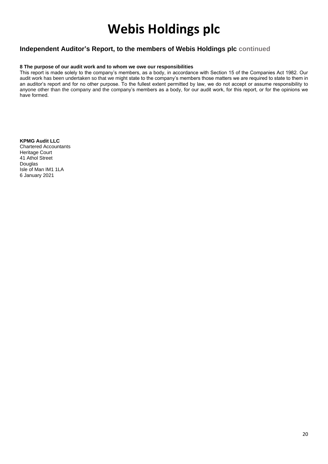### **Independent Auditor's Report, to the members of Webis Holdings plc continued**

#### **8 The purpose of our audit work and to whom we owe our responsibilities**

This report is made solely to the company's members, as a body, in accordance with Section 15 of the Companies Act 1982. Our audit work has been undertaken so that we might state to the company's members those matters we are required to state to them in an auditor's report and for no other purpose. To the fullest extent permitted by law, we do not accept or assume responsibility to anyone other than the company and the company's members as a body, for our audit work, for this report, or for the opinions we have formed.

**KPMG Audit LLC** Chartered Accountants Heritage Court 41 Athol Street Douglas Isle of Man IM1 1LA 6 January 2021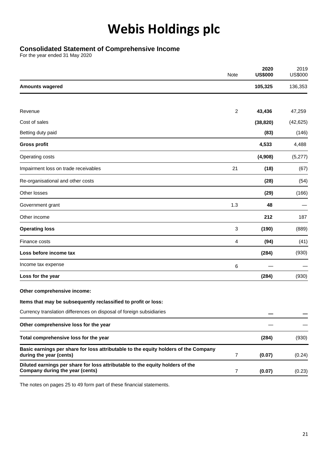### **Consolidated Statement of Comprehensive Income**

For the year ended 31 May 2020

|                                                                                                                  | Note           | 2020<br><b>US\$000</b> | 2019<br><b>US\$000</b> |
|------------------------------------------------------------------------------------------------------------------|----------------|------------------------|------------------------|
| <b>Amounts wagered</b>                                                                                           |                | 105,325                | 136,353                |
|                                                                                                                  |                |                        |                        |
| Revenue                                                                                                          | $\overline{c}$ | 43,436                 | 47,259                 |
| Cost of sales                                                                                                    |                | (38, 820)              | (42, 625)              |
| Betting duty paid                                                                                                |                | (83)                   | (146)                  |
| <b>Gross profit</b>                                                                                              |                | 4,533                  | 4,488                  |
| Operating costs                                                                                                  |                | (4,908)                | (5,277)                |
| Impairment loss on trade receivables                                                                             | 21             | (18)                   | (67)                   |
| Re-organisational and other costs                                                                                |                | (28)                   | (54)                   |
| Other losses                                                                                                     |                | (29)                   | (166)                  |
| Government grant                                                                                                 | 1.3            | 48                     |                        |
| Other income                                                                                                     |                | 212                    | 187                    |
| <b>Operating loss</b>                                                                                            | 3              | (190)                  | (889)                  |
| Finance costs                                                                                                    | 4              | (94)                   | (41)                   |
| Loss before income tax                                                                                           |                | (284)                  | (930)                  |
| Income tax expense                                                                                               | 6              |                        |                        |
| Loss for the year                                                                                                |                | (284)                  | (930)                  |
| Other comprehensive income:                                                                                      |                |                        |                        |
| Items that may be subsequently reclassified to profit or loss:                                                   |                |                        |                        |
| Currency translation differences on disposal of foreign subsidiaries                                             |                |                        |                        |
| Other comprehensive loss for the year                                                                            |                |                        |                        |
| Total comprehensive loss for the year                                                                            |                | (284)                  | (930)                  |
| Basic earnings per share for loss attributable to the equity holders of the Company<br>during the year (cents)   | 7              | (0.07)                 | (0.24)                 |
| Diluted earnings per share for loss attributable to the equity holders of the<br>Company during the year (cents) | 7              | (0.07)                 | (0.23)                 |

The notes on pages 25 to 49 form part of these financial statements.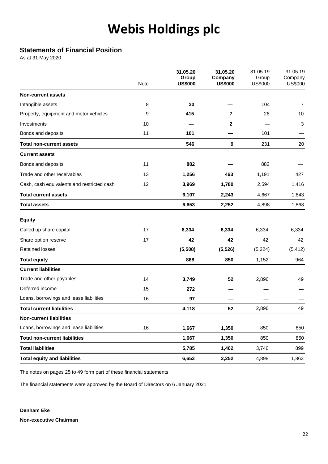## **Statements of Financial Position**

As at 31 May 2020

|                                            | Note | 31.05.20<br>Group<br><b>US\$000</b> | 31.05.20<br>Company<br><b>US\$000</b> | 31.05.19<br>Group<br><b>US\$000</b> | 31.05.19<br>Company<br><b>US\$000</b> |
|--------------------------------------------|------|-------------------------------------|---------------------------------------|-------------------------------------|---------------------------------------|
| <b>Non-current assets</b>                  |      |                                     |                                       |                                     |                                       |
| Intangible assets                          | 8    | 30                                  |                                       | 104                                 | $\overline{7}$                        |
| Property, equipment and motor vehicles     | 9    | 415                                 | $\overline{7}$                        | 26                                  | 10                                    |
| Investments                                | 10   |                                     | $\mathbf{2}$                          |                                     | 3                                     |
| Bonds and deposits                         | 11   | 101                                 |                                       | 101                                 |                                       |
| <b>Total non-current assets</b>            |      | 546                                 | 9                                     | 231                                 | 20                                    |
| <b>Current assets</b>                      |      |                                     |                                       |                                     |                                       |
| Bonds and deposits                         | 11   | 882                                 |                                       | 882                                 |                                       |
| Trade and other receivables                | 13   | 1,256                               | 463                                   | 1,191                               | 427                                   |
| Cash, cash equivalents and restricted cash | 12   | 3,969                               | 1,780                                 | 2,594                               | 1,416                                 |
| Total current assets                       |      | 6,107                               | 2,243                                 | 4,667                               | 1,843                                 |
| <b>Total assets</b>                        |      | 6,653                               | 2,252                                 | 4,898                               | 1,863                                 |
| <b>Equity</b>                              |      |                                     |                                       |                                     |                                       |
| Called up share capital                    | 17   | 6,334                               | 6,334                                 | 6,334                               | 6,334                                 |
| Share option reserve                       | 17   | 42                                  | 42                                    | 42                                  | 42                                    |
| <b>Retained losses</b>                     |      | (5,508)                             | (5, 526)                              | (5,224)                             | (5, 412)                              |
| <b>Total equity</b>                        |      | 868                                 | 850                                   | 1,152                               | 964                                   |
| <b>Current liabilities</b>                 |      |                                     |                                       |                                     |                                       |
| Trade and other payables                   | 14   | 3,749                               | 52                                    | 2,896                               | 49                                    |
| Deferred income                            | 15   | 272                                 |                                       |                                     |                                       |
| Loans, borrowings and lease liabilities    | 16   | 97                                  |                                       |                                     |                                       |
| <b>Total current liabilities</b>           |      | 4,118                               | 52                                    | 2,896                               | 49                                    |
| <b>Non-current liabilities</b>             |      |                                     |                                       |                                     |                                       |
| Loans, borrowings and lease liabilities    | 16   | 1,667                               | 1,350                                 | 850                                 | 850                                   |
| <b>Total non-current liabilities</b>       |      | 1,667                               | 1,350                                 | 850                                 | 850                                   |
| <b>Total liabilities</b>                   |      | 5,785                               | 1,402                                 | 3,746                               | 899                                   |
| <b>Total equity and liabilities</b>        |      | 6,653                               | 2,252                                 | 4,898                               | 1,863                                 |

The notes on pages 25 to 49 form part of these financial statements

The financial statements were approved by the Board of Directors on 6 January 2021

**Denham Eke Non-executive Chairman**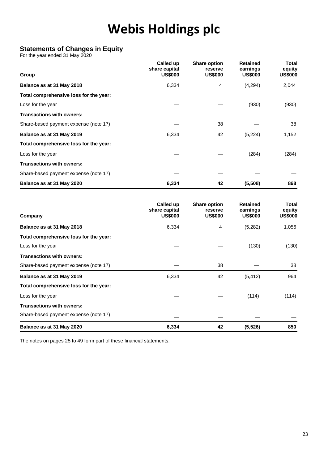### **Statements of Changes in Equity**

For the year ended 31 May 2020

| Group                                  | Called up<br>share capital<br><b>US\$000</b> | <b>Share option</b><br>reserve<br><b>US\$000</b> | <b>Retained</b><br>earnings<br><b>US\$000</b> | Total<br>equity<br><b>US\$000</b> |
|----------------------------------------|----------------------------------------------|--------------------------------------------------|-----------------------------------------------|-----------------------------------|
| Balance as at 31 May 2018              | 6,334                                        | 4                                                | (4,294)                                       | 2,044                             |
| Total comprehensive loss for the year: |                                              |                                                  |                                               |                                   |
| Loss for the year                      |                                              |                                                  | (930)                                         | (930)                             |
| <b>Transactions with owners:</b>       |                                              |                                                  |                                               |                                   |
| Share-based payment expense (note 17)  |                                              | 38                                               |                                               | 38                                |
| Balance as at 31 May 2019              | 6,334                                        | 42                                               | (5,224)                                       | 1,152                             |
| Total comprehensive loss for the year: |                                              |                                                  |                                               |                                   |
| Loss for the year                      |                                              |                                                  | (284)                                         | (284)                             |
| <b>Transactions with owners:</b>       |                                              |                                                  |                                               |                                   |
| Share-based payment expense (note 17)  |                                              |                                                  |                                               |                                   |
| Balance as at 31 May 2020              | 6,334                                        | 42                                               | (5,508)                                       | 868                               |

| Company                                | Called up<br>share capital<br><b>US\$000</b> | <b>Share option</b><br>reserve<br><b>US\$000</b> | <b>Retained</b><br>earnings<br><b>US\$000</b> | Total<br>equity<br><b>US\$000</b> |
|----------------------------------------|----------------------------------------------|--------------------------------------------------|-----------------------------------------------|-----------------------------------|
| Balance as at 31 May 2018              | 6,334                                        | 4                                                | (5,282)                                       | 1,056                             |
| Total comprehensive loss for the year: |                                              |                                                  |                                               |                                   |
| Loss for the year                      |                                              |                                                  | (130)                                         | (130)                             |
| <b>Transactions with owners:</b>       |                                              |                                                  |                                               |                                   |
| Share-based payment expense (note 17)  |                                              | 38                                               |                                               | 38                                |
| Balance as at 31 May 2019              | 6,334                                        | 42                                               | (5, 412)                                      | 964                               |
| Total comprehensive loss for the year: |                                              |                                                  |                                               |                                   |
| Loss for the year                      |                                              |                                                  | (114)                                         | (114)                             |
| <b>Transactions with owners:</b>       |                                              |                                                  |                                               |                                   |
| Share-based payment expense (note 17)  |                                              |                                                  |                                               |                                   |
| Balance as at 31 May 2020              | 6,334                                        | 42                                               | (5, 526)                                      | 850                               |

The notes on pages 25 to 49 form part of these financial statements.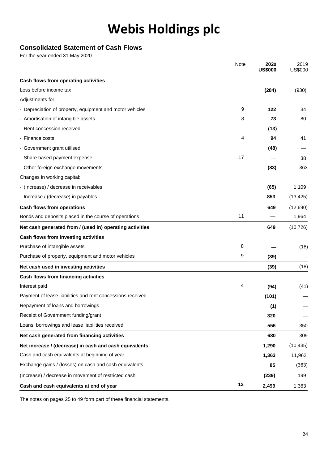# **Consolidated Statement of Cash Flows**

For the year ended 31 May 2020

|                                                            | Note | 2020<br><b>US\$000</b> | 2019<br><b>US\$000</b> |
|------------------------------------------------------------|------|------------------------|------------------------|
| Cash flows from operating activities                       |      |                        |                        |
| Loss before income tax                                     |      | (284)                  | (930)                  |
| Adjustments for:                                           |      |                        |                        |
| - Depreciation of property, equipment and motor vehicles   | 9    | 122                    | 34                     |
| - Amortisation of intangible assets                        | 8    | 73                     | 80                     |
| - Rent concession received                                 |      | (13)                   |                        |
| - Finance costs                                            | 4    | 94                     | 41                     |
| - Government grant utilised                                |      | (48)                   |                        |
| - Share based payment expense                              | 17   |                        | 38                     |
| - Other foreign exchange movements                         |      | (83)                   | 363                    |
| Changes in working capital:                                |      |                        |                        |
| - (Increase) / decrease in receivables                     |      | (65)                   | 1,109                  |
| - Increase / (decrease) in payables                        |      | 853                    | (13, 425)              |
| <b>Cash flows from operations</b>                          |      | 649                    | (12,690)               |
| Bonds and deposits placed in the course of operations      | 11   |                        | 1,964                  |
| Net cash generated from / (used in) operating activities   |      | 649                    | (10, 726)              |
| Cash flows from investing activities                       |      |                        |                        |
| Purchase of intangible assets                              | 8    |                        | (18)                   |
| Purchase of property, equipment and motor vehicles         | 9    | (39)                   |                        |
| Net cash used in investing activities                      |      | (39)                   | (18)                   |
| Cash flows from financing activities                       |      |                        |                        |
| Interest paid                                              | 4    | (94)                   | (41)                   |
| Payment of lease liabilities and rent concessions received |      | (101)                  |                        |
| Repayment of loans and borrowings                          |      | (1)                    |                        |
| Receipt of Government funding/grant                        |      | 320                    |                        |
| Loans, borrowings and lease liabilities received           |      | 556                    | 350                    |
| Net cash generated from financing activities               |      | 680                    | 309                    |
| Net increase / (decrease) in cash and cash equivalents     |      | 1,290                  | (10, 435)              |
| Cash and cash equivalents at beginning of year             |      | 1,363                  | 11,962                 |
| Exchange gains / (losses) on cash and cash equivalents     |      | 85                     | (363)                  |
| (Increase) / decrease in movement of restricted cash       |      | (239)                  | 199                    |
| Cash and cash equivalents at end of year                   | 12   | 2,499                  | 1,363                  |

The notes on pages 25 to 49 form part of these financial statements.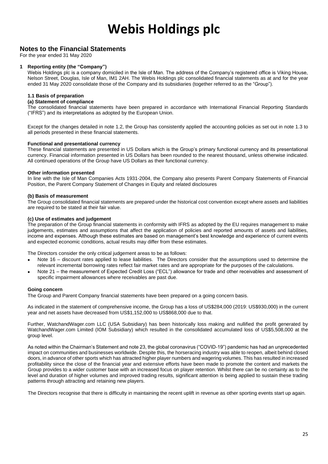### **Notes to the Financial Statements**

For the year ended 31 May 2020

#### **1 Reporting entity (the "Company")**

Webis Holdings plc is a company domiciled in the Isle of Man. The address of the Company's registered office is Viking House, Nelson Street, Douglas, Isle of Man, IM1 2AH. The Webis Holdings plc consolidated financial statements as at and for the year ended 31 May 2020 consolidate those of the Company and its subsidiaries (together referred to as the "Group").

#### **1.1 Basis of preparation**

#### **(a) Statement of compliance**

The consolidated financial statements have been prepared in accordance with International Financial Reporting Standards ("IFRS") and its interpretations as adopted by the European Union.

Except for the changes detailed in note 1.2, the Group has consistently applied the accounting policies as set out in note 1.3 to all periods presented in these financial statements.

#### **Functional and presentational currency**

These financial statements are presented in US Dollars which is the Group's primary functional currency and its presentational currency. Financial information presented in US Dollars has been rounded to the nearest thousand, unless otherwise indicated. All continued operations of the Group have US Dollars as their functional currency.

#### **Other information presented**

In line with the Isle of Man Companies Acts 1931-2004, the Company also presents Parent Company Statements of Financial Position, the Parent Company Statement of Changes in Equity and related disclosures

#### **(b) Basis of measurement**

The Group consolidated financial statements are prepared under the historical cost convention except where assets and liabilities are required to be stated at their fair value.

#### **(c) Use of estimates and judgement**

The preparation of the Group financial statements in conformity with IFRS as adopted by the EU requires management to make judgements, estimates and assumptions that affect the application of policies and reported amounts of assets and liabilities, income and expenses. Although these estimates are based on management's best knowledge and experience of current events and expected economic conditions, actual results may differ from these estimates.

The Directors consider the only critical judgement areas to be as follows:

- Note 16 discount rates applied to lease liabilities. The Directors consider that the assumptions used to determine the relevant incremental borrowing rates reflect fair market rates and are appropriate for the purposes of the calculations.
- Note 21 the measurement of Expected Credit Loss ("ECL") allowance for trade and other receivables and assessment of specific impairment allowances where receivables are past due.

#### **Going concern**

The Group and Parent Company financial statements have been prepared on a going concern basis.

As indicated in the statement of comprehensive income, the Group has a loss of US\$284,000 (2019: US\$930,000) in the current year and net assets have decreased from US\$1,152,000 to US\$868,000 due to that.

Further, WatchandWager.com LLC (USA Subsidiary) has been historically loss making and nullified the profit generated by WatchandWager.com Limited (IOM Subsidiary) which resulted in the consolidated accumulated loss of US\$5,508,000 at the group level.

As noted within the Chairman's Statement and note 23, the global coronavirus ("COVID-19") pandemic has had an unprecedented impact on communities and businesses worldwide. Despite this, the horseracing industry was able to reopen, albeit behind closed doors, in advance of other sports which has attracted higher player numbers and wagering volumes. This has resulted in increased profitability since the close of the financial year and extensive efforts have been made to promote the content and markets the Group provides to a wider customer base with an increased focus on player retention. Whilst there can be no certainty as to the level and duration of higher volumes and improved trading results, significant attention is being applied to sustain these trading patterns through attracting and retaining new players.

The Directors recognise that there is difficulty in maintaining the recent uplift in revenue as other sporting events start up again.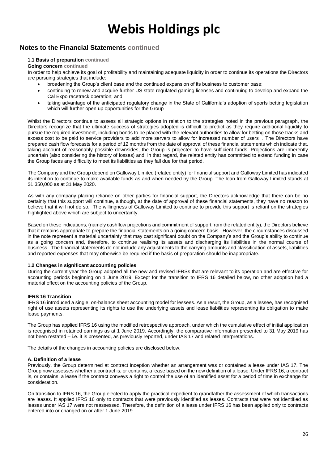### **Notes to the Financial Statements continued**

#### **1.1 Basis of preparation continued**

#### **Going concern continued**

In order to help achieve its goal of profitability and maintaining adequate liquidity in order to continue its operations the Directors are pursuing strategies that include:

- broadening the Group's client base and the continued expansion of its business to customer base;
- continuing to renew and acquire further US state regulated gaming licenses and continuing to develop and expand the Cal Expo racetrack operation; and
- taking advantage of the anticipated regulatory change in the State of California's adoption of sports betting legislation which will further open up opportunities for the Group

Whilst the Directors continue to assess all strategic options in relation to the strategies noted in the previous paragraph, the Directors recognize that the ultimate success of strategies adopted is difficult to predict as they require additional liquidity to pursue the required investment, including bonds to be placed with the relevant authorities to allow for betting on those tracks and excess cost to be paid to service providers to add more servers to allow for increased number of users . The Directors have prepared cash flow forecasts for a period of 12 months from the date of approval of these financial statements which indicate that, taking account of reasonably possible downsides, the Group is projected to have sufficient funds. Projections are inherently uncertain (also considering the history of losses) and, in that regard, the related entity has committed to extend funding in case the Group faces any difficulty to meet its liabilities as they fall due for that period.

The Company and the Group depend on Galloway Limited (related entity) for financial support and Galloway Limited has indicated its intention to continue to make available funds as and when needed by the Group. The loan from Galloway Limited stands at \$1,350,000 as at 31 May 2020.

As with any company placing reliance on other parties for financial support, the Directors acknowledge that there can be no certainty that this support will continue, although, at the date of approval of these financial statements, they have no reason to believe that it will not do so. The willingness of Galloway Limited to continue to provide this support is reliant on the strategies highlighted above which are subject to uncertainty.

Based on these indications, (namely cashflow projections and commitment of support from the related entity), the Directors believe that it remains appropriate to prepare the financial statements on a going concern basis. However, the circumstances discussed in the note represent a material uncertainty that may cast significant doubt on the Company's and the Group's ability to continue as a going concern and, therefore, to continue realising its assets and discharging its liabilities in the normal course of business. The financial statements do not include any adjustments to the carrying amounts and classification of assets, liabilities and reported expenses that may otherwise be required if the basis of preparation should be inappropriate.

#### **1.2 Changes in significant accounting policies**

During the current year the Group adopted all the new and revised IFRSs that are relevant to its operation and are effective for accounting periods beginning on 1 June 2019. Except for the transition to IFRS 16 detailed below, no other adoption had a material effect on the accounting policies of the Group.

#### **IFRS 16 Transition**

IFRS 16 introduced a single, on-balance sheet accounting model for lessees. As a result, the Group, as a lessee, has recognised right of use assets representing its rights to use the underlying assets and lease liabilities representing its obligation to make lease payments.

The Group has applied IFRS 16 using the modified retrospective approach, under which the cumulative effect of initial application is recognised in retained earnings as at 1 June 2019. Accordingly, the comparative information presented to 31 May 2019 has not been restated – i.e. it is presented, as previously reported, under IAS 17 and related interpretations.

The details of the changes in accounting policies are disclosed below.

#### **A. Definition of a lease**

Previously, the Group determined at contract inception whether an arrangement was or contained a lease under IAS 17. The Group now assesses whether a contract is, or contains, a lease based on the new definition of a lease. Under IFRS 16, a contract is, or contains, a lease if the contract conveys a right to control the use of an identified asset for a period of time in exchange for consideration.

On transition to IFRS 16, the Group elected to apply the practical expedient to grandfather the assessment of which transactions are leases. It applied IFRS 16 only to contracts that were previously identified as leases. Contracts that were not identified as leases under IAS 17 were not reassessed. Therefore, the definition of a lease under IFRS 16 has been applied only to contracts entered into or changed on or after 1 June 2019.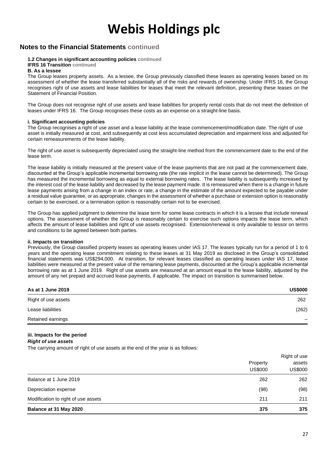### **Notes to the Financial Statements continued**

#### **1.2 Changes in significant accounting policies continued**

#### **IFRS 16 Transition continued**

#### **B. As a lessee**

The Group leases property assets. As a lessee, the Group previously classified these leases as operating leases based on its assessment of whether the lease transferred substantially all of the risks and rewards of ownership. Under IFRS 16, the Group recognises right of use assets and lease liabilities for leases that meet the relevant definition, presenting these leases on the Statement of Financial Position.

The Group does not recognise right of use assets and lease liabilities for property rental costs that do not meet the definition of leases under IFRS 16. The Group recognises these costs as an expense on a straight-line basis.

#### **i. Significant accounting policies**

The Group recognises a right of use asset and a lease liability at the lease commencement/modification date. The right of use asset is initially measured at cost, and subsequently at cost less accumulated depreciation and impairment loss and adjusted for certain remeasurements of the lease liability.

The right of use asset is subsequently depreciated using the straight-line method from the commencement date to the end of the lease term.

The lease liability is initially measured at the present value of the lease payments that are not paid at the commencement date, discounted at the Group's applicable incremental borrowing rate (the rate implicit in the lease cannot be determined). The Group has measured the incremental borrowing as equal to external borrowing rates. The lease liability is subsequently increased by the interest cost of the lease liability and decreased by the lease payment made. It is remeasured when there is a change in future lease payments arising from a change in an index or rate, a change in the estimate of the amount expected to be payable under a residual value guarantee, or as appropriate, changes in the assessment of whether a purchase or extension option is reasonably certain to be exercised, or a termination option is reasonably certain not to be exercised.

The Group has applied judgment to determine the lease term for some lease contracts in which it is a lessee that include renewal options. The assessment of whether the Group is reasonably certain to exercise such options impacts the lease term, which affects the amount of lease liabilities and right of use assets recognised. Extension/renewal is only available to lessor on terms and conditions to be agreed between both parties.

#### **ii. Impacts on transition**

Previously, the Group classified property leases as operating leases under IAS 17. The leases typically run for a period of 1 to 6 years and the operating lease commitment relating to these leases at 31 May 2019 as disclosed in the Group's consolidated financial statements was US\$294,000. At transition, for relevant leases classified as operating leases under IAS 17, lease liabilities were measured at the present value of the remaining lease payments, discounted at the Group's applicable incremental borrowing rate as at 1 June 2019. Right of use assets are measured at an amount equal to the lease liability, adjusted by the amount of any net prepaid and accrued lease payments, if applicable. The impact on transition is summarised below.

| As at 1 June 2019   | <b>US\$000</b> |
|---------------------|----------------|
| Right of use assets | 262            |
| Lease liabilities   | (262)          |
| Retained earnings   |                |

# **iii. Impacts for the period**

*Right of use assets*

The carrying amount of right of use assets at the end of the year is as follows:

| Balance at 31 May 2020              | 375                        | 375                      |  |  |
|-------------------------------------|----------------------------|--------------------------|--|--|
| Modification to right of use assets | 211                        | 211                      |  |  |
| Depreciation expense                | (98)                       | (98)                     |  |  |
| Balance at 1 June 2019              | 262                        | 262                      |  |  |
|                                     | Property<br><b>US\$000</b> | assets<br><b>US\$000</b> |  |  |
|                                     |                            | Right of use             |  |  |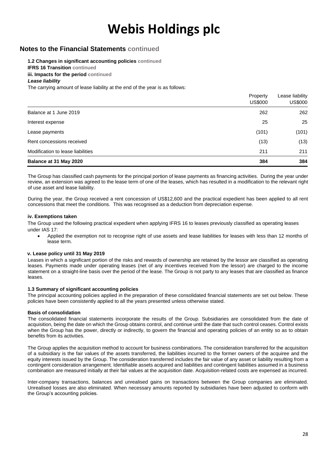### **Notes to the Financial Statements continued**

#### **1.2 Changes in significant accounting policies continued**

**IFRS 16 Transition continued**

**iii. Impacts for the period continued**

#### *Lease liability*

The carrying amount of lease liability at the end of the year is as follows:

|                                   | Property<br><b>US\$000</b> | Lease liability<br><b>US\$000</b> |
|-----------------------------------|----------------------------|-----------------------------------|
| Balance at 1 June 2019            | 262                        | 262                               |
| Interest expense                  | 25                         | 25                                |
| Lease payments                    | (101)                      | (101)                             |
| Rent concessions received         | (13)                       | (13)                              |
| Modification to lease liabilities | 211                        | 211                               |
| Balance at 31 May 2020            | 384                        | 384                               |

The Group has classified cash payments for the principal portion of lease payments as financing activities. During the year under review, an extension was agreed to the lease term of one of the leases, which has resulted in a modification to the relevant right of use asset and lease liability.

During the year, the Group received a rent concession of US\$12,600 and the practical expedient has been applied to all rent concessions that meet the conditions. This was recognised as a deduction from depreciation expense.

#### **iv. Exemptions taken**

The Group used the following practical expedient when applying IFRS 16 to leases previously classified as operating leases under IAS 17:

• Applied the exemption not to recognise right of use assets and lease liabilities for leases with less than 12 months of lease term.

#### **v. Lease policy until 31 May 2019**

Leases in which a significant portion of the risks and rewards of ownership are retained by the lessor are classified as operating leases. Payments made under operating leases (net of any incentives received from the lessor) are charged to the income statement on a straight-line basis over the period of the lease. The Group is not party to any leases that are classified as finance leases.

#### **1.3 Summary of significant accounting policies**

The principal accounting policies applied in the preparation of these consolidated financial statements are set out below. These policies have been consistently applied to all the years presented unless otherwise stated.

#### **Basis of consolidation**

The consolidated financial statements incorporate the results of the Group. Subsidiaries are consolidated from the date of acquisition, being the date on which the Group obtains control, and continue until the date that such control ceases. Control exists when the Group has the power, directly or indirectly, to govern the financial and operating policies of an entity so as to obtain benefits from its activities.

The Group applies the acquisition method to account for business combinations. The consideration transferred for the acquisition of a subsidiary is the fair values of the assets transferred, the liabilities incurred to the former owners of the acquiree and the equity interests issued by the Group. The consideration transferred includes the fair value of any asset or liability resulting from a contingent consideration arrangement. Identifiable assets acquired and liabilities and contingent liabilities assumed in a business combination are measured initially at their fair values at the acquisition date. Acquisition-related costs are expensed as incurred.

Inter-company transactions, balances and unrealised gains on transactions between the Group companies are eliminated. Unrealised losses are also eliminated. When necessary amounts reported by subsidiaries have been adjusted to conform with the Group's accounting policies.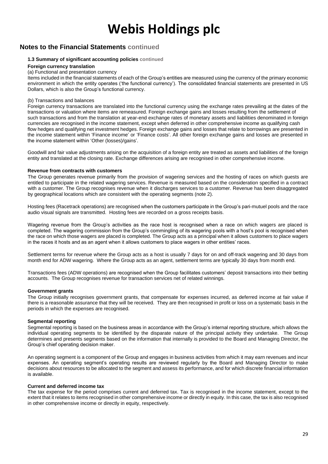### **Notes to the Financial Statements continued**

#### **1.3 Summary of significant accounting policies continued**

#### **Foreign currency translation**

#### (a) Functional and presentation currency

Items included in the financial statements of each of the Group's entities are measured using the currency of the primary economic environment in which the entity operates ('the functional currency'). The consolidated financial statements are presented in US Dollars, which is also the Group's functional currency.

#### (b) Transactions and balances

Foreign currency transactions are translated into the functional currency using the exchange rates prevailing at the dates of the transactions or valuation where items are remeasured. Foreign exchange gains and losses resulting from the settlement of such transactions and from the translation at year-end exchange rates of monetary assets and liabilities denominated in foreign currencies are recognised in the income statement, except when deferred in other comprehensive income as qualifying cash flow hedges and qualifying net investment hedges. Foreign exchange gains and losses that relate to borrowings are presented in the income statement within 'Finance income' or 'Finance costs'. All other foreign exchange gains and losses are presented in the income statement within 'Other (losses)/gains'.

Goodwill and fair value adjustments arising on the acquisition of a foreign entity are treated as assets and liabilities of the foreign entity and translated at the closing rate. Exchange differences arising are recognised in other comprehensive income.

#### **Revenue from contracts with customers**

The Group generates revenue primarily from the provision of wagering services and the hosting of races on which guests are entitled to participate in the related wagering services. Revenue is measured based on the consideration specified in a contract with a customer. The Group recognises revenue when it discharges services to a customer. Revenue has been disaggregated by geographical locations which are consistent with the operating segments (note 2).

Hosting fees (Racetrack operations) are recognised when the customers participate in the Group's pari-mutuel pools and the race audio visual signals are transmitted. Hosting fees are recorded on a gross receipts basis.

Wagering revenue from the Group's activities as the race host is recognised when a race on which wagers are placed is completed. The wagering commission from the Group's commingling of its wagering pools with a host's pool is recognised when the race on which those wagers are placed is completed. The Group acts as a principal when it allows customers to place wagers in the races it hosts and as an agent when it allows customers to place wagers in other entities' races.

Settlement terms for revenue where the Group acts as a host is usually 7 days for on and off-track wagering and 30 days from month end for ADW wagering. Where the Group acts as an agent, settlement terms are typically 30 days from month end.

Transactions fees (ADW operations) are recognised when the Group facilitates customers' deposit transactions into their betting accounts. The Group recognises revenue for transaction services net of related winnings.

#### **Government grants**

The Group initially recognises government grants, that compensate for expenses incurred, as deferred income at fair value if there is a reasonable assurance that they will be received. They are then recognised in profit or loss on a systematic basis in the periods in which the expenses are recognised.

#### **Segmental reporting**

Segmental reporting is based on the business areas in accordance with the Group's internal reporting structure, which allows the individual operating segments to be identified by the disparate nature of the principal activity they undertake. The Group determines and presents segments based on the information that internally is provided to the Board and Managing Director, the Group's chief operating decision maker.

An operating segment is a component of the Group and engages in business activities from which it may earn revenues and incur expenses. An operating segment's operating results are reviewed regularly by the Board and Managing Director to make decisions about resources to be allocated to the segment and assess its performance, and for which discrete financial information is available.

#### **Current and deferred income tax**

The tax expense for the period comprises current and deferred tax. Tax is recognised in the income statement, except to the extent that it relates to items recognised in other comprehensive income or directly in equity. In this case, the tax is also recognised in other comprehensive income or directly in equity, respectively.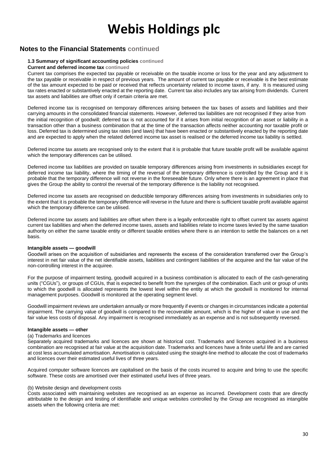### **Notes to the Financial Statements continued**

#### **1.3 Summary of significant accounting policies continued**

#### **Current and deferred income tax continued**

Current tax comprises the expected tax payable or receivable on the taxable income or loss for the year and any adjustment to the tax payable or receivable in respect of previous years. The amount of current tax payable or receivable is the best estimate of the tax amount expected to be paid or received that reflects uncertainty related to income taxes, if any. It is measured using tax rates enacted or substantively enacted at the reporting date. Current tax also includes any tax arising from dividends. Current tax assets and liabilities are offset only if certain criteria are met.

Deferred income tax is recognised on temporary differences arising between the tax bases of assets and liabilities and their carrying amounts in the consolidated financial statements. However, deferred tax liabilities are not recognised if they arise from the initial recognition of goodwill; deferred tax is not accounted for if it arises from initial recognition of an asset or liability in a transaction other than a business combination that at the time of the transaction affects neither accounting nor taxable profit or loss. Deferred tax is determined using tax rates (and laws) that have been enacted or substantively enacted by the reporting date and are expected to apply when the related deferred income tax asset is realised or the deferred income tax liability is settled.

Deferred income tax assets are recognised only to the extent that it is probable that future taxable profit will be available against which the temporary differences can be utilised.

Deferred income tax liabilities are provided on taxable temporary differences arising from investments in subsidiaries except for deferred income tax liability, where the timing of the reversal of the temporary difference is controlled by the Group and it is probable that the temporary difference will not reverse in the foreseeable future. Only where there is an agreement in place that gives the Group the ability to control the reversal of the temporary difference is the liability not recognised.

Deferred income tax assets are recognised on deductible temporary differences arising from investments in subsidiaries only to the extent that it is probable the temporary difference will reverse in the future and there is sufficient taxable profit available against which the temporary difference can be utilised.

Deferred income tax assets and liabilities are offset when there is a legally enforceable right to offset current tax assets against current tax liabilities and when the deferred income taxes, assets and liabilities relate to income taxes levied by the same taxation authority on either the same taxable entity or different taxable entities where there is an intention to settle the balances on a net basis.

#### **Intangible assets — goodwill**

Goodwill arises on the acquisition of subsidiaries and represents the excess of the consideration transferred over the Group's interest in net fair value of the net identifiable assets, liabilities and contingent liabilities of the acquiree and the fair value of the non-controlling interest in the acquiree.

For the purpose of impairment testing, goodwill acquired in a business combination is allocated to each of the cash-generating units ("CGUs"), or groups of CGUs, that is expected to benefit from the synergies of the combination. Each unit or group of units to which the goodwill is allocated represents the lowest level within the entity at which the goodwill is monitored for internal management purposes. Goodwill is monitored at the operating segment level.

Goodwill impairment reviews are undertaken annually or more frequently if events or changes in circumstances indicate a potential impairment. The carrying value of goodwill is compared to the recoverable amount, which is the higher of value in use and the fair value less costs of disposal. Any impairment is recognised immediately as an expense and is not subsequently reversed.

#### **Intangible assets — other**

#### (a) Trademarks and licences

Separately acquired trademarks and licences are shown at historical cost. Trademarks and licences acquired in a business combination are recognised at fair value at the acquisition date. Trademarks and licences have a finite useful life and are carried at cost less accumulated amortisation. Amortisation is calculated using the straight-line method to allocate the cost of trademarks and licences over their estimated useful lives of three years.

Acquired computer software licences are capitalised on the basis of the costs incurred to acquire and bring to use the specific software. These costs are amortised over their estimated useful lives of three years.

#### (b) Website design and development costs

Costs associated with maintaining websites are recognised as an expense as incurred. Development costs that are directly attributable to the design and testing of identifiable and unique websites controlled by the Group are recognised as intangible assets when the following criteria are met: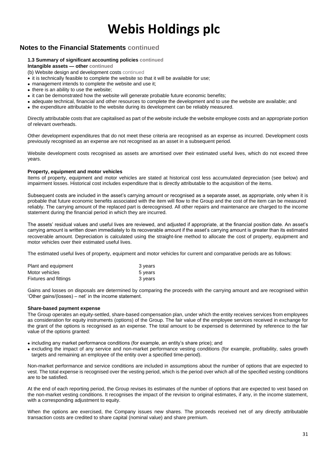### **Notes to the Financial Statements continued**

#### **1.3 Summary of significant accounting policies continued**

**Intangible assets — other continued**

(b) Website design and development costs continued

- it is technically feasible to complete the website so that it will be available for use;
- management intends to complete the website and use it:
- there is an ability to use the website:
- it can be demonstrated how the website will generate probable future economic benefits;
- adequate technical, financial and other resources to complete the development and to use the website are available; and
- the expenditure attributable to the website during its development can be reliably measured.

Directly attributable costs that are capitalised as part of the website include the website employee costs and an appropriate portion of relevant overheads.

Other development expenditures that do not meet these criteria are recognised as an expense as incurred. Development costs previously recognised as an expense are not recognised as an asset in a subsequent period.

Website development costs recognised as assets are amortised over their estimated useful lives, which do not exceed three years.

#### **Property, equipment and motor vehicles**

Items of property, equipment and motor vehicles are stated at historical cost less accumulated depreciation (see below) and impairment losses. Historical cost includes expenditure that is directly attributable to the acquisition of the items.

Subsequent costs are included in the asset's carrying amount or recognised as a separate asset, as appropriate, only when it is probable that future economic benefits associated with the item will flow to the Group and the cost of the item can be measured reliably. The carrying amount of the replaced part is derecognised. All other repairs and maintenance are charged to the income statement during the financial period in which they are incurred.

The assets' residual values and useful lives are reviewed, and adjusted if appropriate, at the financial position date. An asset's carrying amount is written down immediately to its recoverable amount if the asset's carrying amount is greater than its estimated recoverable amount. Depreciation is calculated using the straight-line method to allocate the cost of property, equipment and motor vehicles over their estimated useful lives.

The estimated useful lives of property, equipment and motor vehicles for current and comparative periods are as follows:

| Plant and equipment   | 3 years |
|-----------------------|---------|
| Motor vehicles        | 5 years |
| Fixtures and fittings | 3 years |

Gains and losses on disposals are determined by comparing the proceeds with the carrying amount and are recognised within 'Other gains/(losses) – net' in the income statement.

#### **Share-based payment expense**

The Group operates an equity-settled, share-based compensation plan, under which the entity receives services from employees as consideration for equity instruments (options) of the Group. The fair value of the employee services received in exchange for the grant of the options is recognised as an expense. The total amount to be expensed is determined by reference to the fair value of the options granted:

- including any market performance conditions (for example, an entity's share price); and
- excluding the impact of any service and non-market performance vesting conditions (for example, profitability, sales growth targets and remaining an employee of the entity over a specified time-period).

Non-market performance and service conditions are included in assumptions about the number of options that are expected to vest. The total expense is recognised over the vesting period, which is the period over which all of the specified vesting conditions are to be satisfied.

At the end of each reporting period, the Group revises its estimates of the number of options that are expected to vest based on the non-market vesting conditions. It recognises the impact of the revision to original estimates, if any, in the income statement, with a corresponding adjustment to equity.

When the options are exercised, the Company issues new shares. The proceeds received net of any directly attributable transaction costs are credited to share capital (nominal value) and share premium.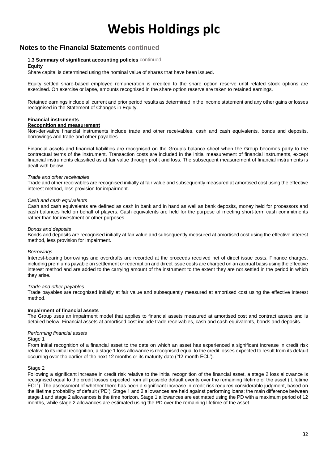### **Notes to the Financial Statements continued**

#### **1.3 Summary of significant accounting policies** continued

#### **Equity**

Share capital is determined using the nominal value of shares that have been issued.

Equity settled share-based employee remuneration is credited to the share option reserve until related stock options are exercised. On exercise or lapse, amounts recognised in the share option reserve are taken to retained earnings.

Retained earnings include all current and prior period results as determined in the income statement and any other gains or losses recognised in the Statement of Changes in Equity.

#### **Financial instruments**

#### **Recognition and measurement**

Non-derivative financial instruments include trade and other receivables, cash and cash equivalents, bonds and deposits, borrowings and trade and other payables.

Financial assets and financial liabilities are recognised on the Group's balance sheet when the Group becomes party to the contractual terms of the instrument. Transaction costs are included in the initial measurement of financial instruments, except financial instruments classified as at fair value through profit and loss. The subsequent measurement of financial instruments is dealt with below.

#### *Trade and other receivables*

Trade and other receivables are recognised initially at fair value and subsequently measured at amortised cost using the effective interest method, less provision for impairment.

#### *Cash and cash equivalents*

Cash and cash equivalents are defined as cash in bank and in hand as well as bank deposits, money held for processors and cash balances held on behalf of players. Cash equivalents are held for the purpose of meeting short-term cash commitments rather than for investment or other purposes.

#### *Bonds and deposits*

Bonds and deposits are recognised initially at fair value and subsequently measured at amortised cost using the effective interest method, less provision for impairment.

#### *Borrowings*

Interest-bearing borrowings and overdrafts are recorded at the proceeds received net of direct issue costs. Finance charges, including premiums payable on settlement or redemption and direct issue costs are charged on an accrual basis using the effective interest method and are added to the carrying amount of the instrument to the extent they are not settled in the period in which they arise.

#### *Trade and other payables*

Trade payables are recognised initially at fair value and subsequently measured at amortised cost using the effective interest method.

#### **Impairment of financial assets**

The Group uses an impairment model that applies to financial assets measured at amortised cost and contract assets and is detailed below. Financial assets at amortised cost include trade receivables, cash and cash equivalents, bonds and deposits.

#### *Performing financial assets*

#### Stage 1

From initial recognition of a financial asset to the date on which an asset has experienced a significant increase in credit risk relative to its initial recognition, a stage 1 loss allowance is recognised equal to the credit losses expected to result from its default occurring over the earlier of the next 12 months or its maturity date ('12-month ECL').

#### Stage 2

Following a significant increase in credit risk relative to the initial recognition of the financial asset, a stage 2 loss allowance is recognised equal to the credit losses expected from all possible default events over the remaining lifetime of the asset ('Lifetime ECL'). The assessment of whether there has been a significant increase in credit risk requires considerable judgment, based on the lifetime probability of default ('PD'). Stage 1 and 2 allowances are held against performing loans; the main difference between stage 1 and stage 2 allowances is the time horizon. Stage 1 allowances are estimated using the PD with a maximum period of 12 months, while stage 2 allowances are estimated using the PD over the remaining lifetime of the asset.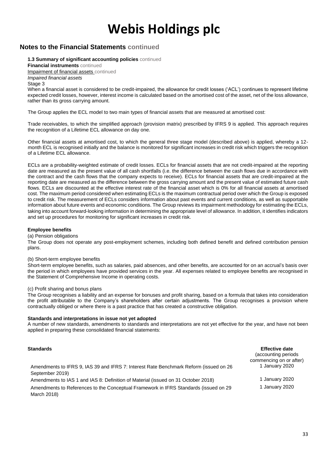### **Notes to the Financial Statements continued**

**1.3 Summary of significant accounting policies** continued

**Financial instruments** continued Impairment of financial assets continued

*Impaired financial assets*

Stage 3

When a financial asset is considered to be credit-impaired, the allowance for credit losses ('ACL') continues to represent lifetime expected credit losses, however, interest income is calculated based on the amortised cost of the asset, net of the loss allowance, rather than its gross carrying amount.

The Group applies the ECL model to two main types of financial assets that are measured at amortised cost:

Trade receivables, to which the simplified approach (provision matrix) prescribed by IFRS 9 is applied. This approach requires the recognition of a Lifetime ECL allowance on day one.

Other financial assets at amortised cost, to which the general three stage model (described above) is applied, whereby a 12 month ECL is recognised initially and the balance is monitored for significant increases in credit risk which triggers the recognition of a Lifetime ECL allowance.

ECLs are a probability-weighted estimate of credit losses. ECLs for financial assets that are not credit-impaired at the reporting date are measured as the present value of all cash shortfalls (i.e. the difference between the cash flows due in accordance with the contract and the cash flows that the company expects to receive). ECLs for financial assets that are credit-impaired at the reporting date are measured as the difference between the gross carrying amount and the present value of estimated future cash flows. ECLs are discounted at the effective interest rate of the financial asset which is 0% for all financial assets at amortised cost. The maximum period considered when estimating ECLs is the maximum contractual period over which the Group is exposed to credit risk. The measurement of ECLs considers information about past events and current conditions, as well as supportable information about future events and economic conditions. The Group reviews its impairment methodology for estimating the ECLs, taking into account forward-looking information in determining the appropriate level of allowance. In addition, it identifies indicators and set up procedures for monitoring for significant increases in credit risk.

#### **Employee benefits**

#### (a) Pension obligations

The Group does not operate any post-employment schemes, including both defined benefit and defined contribution pension plans.

#### (b) Short-term employee benefits

Short-term employee benefits, such as salaries, paid absences, and other benefits, are accounted for on an accrual's basis over the period in which employees have provided services in the year. All expenses related to employee benefits are recognised in the Statement of Comprehensive Income in operating costs.

#### (c) Profit sharing and bonus plans

The Group recognises a liability and an expense for bonuses and profit sharing, based on a formula that takes into consideration the profit attributable to the Company's shareholders after certain adjustments. The Group recognises a provision where contractually obliged or where there is a past practice that has created a constructive obligation.

#### **Standards and interpretations in issue not yet adopted**

A number of new standards, amendments to standards and interpretations are not yet effective for the year, and have not been applied in preparing these consolidated financial statements:

| <b>Standards</b>                                                                                         | <b>Effective date</b><br>(accounting periods)<br>commencing on or after) |
|----------------------------------------------------------------------------------------------------------|--------------------------------------------------------------------------|
| Amendments to IFRS 9, IAS 39 and IFRS 7: Interest Rate Benchmark Reform (issued on 26<br>September 2019) | 1 January 2020                                                           |
| Amendments to IAS 1 and IAS 8: Definition of Material (issued on 31 October 2018)                        | 1 January 2020                                                           |
| Amendments to References to the Conceptual Framework in IFRS Standards (issued on 29<br>March 2018)      | 1 January 2020                                                           |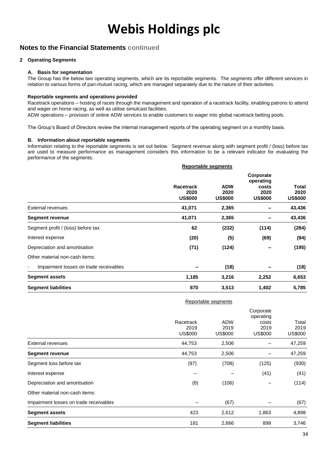### **Notes to the Financial Statements continued**

#### **2 Operating Segments**

#### **A. Basis for segmentation**

The Group has the below two operating segments, which are its reportable segments. The segments offer different services in relation to various forms of pari-mutuel racing, which are managed separately due to the nature of their activities.

#### **Reportable segments and operations provided**

Racetrack operations – hosting of races through the management and operation of a racetrack facility, enabling patrons to attend and wager on horse racing, as well as utilise simulcast facilities.

ADW operations – provision of online ADW services to enable customers to wager into global racetrack betting pools.

The Group's Board of Directors review the internal management reports of the operating segment on a monthly basis.

#### **B. Information about reportable segments**

Information relating to the reportable segments is set out below. Segment revenue along with segment profit / (loss) before tax are used to measure performance as management considers this information to be a relevant indicator for evaluating the performance of the segments.

| <b>Reportable segments</b>          |                                      |                                                           |                                 |  |
|-------------------------------------|--------------------------------------|-----------------------------------------------------------|---------------------------------|--|
| Racetrack<br>2020<br><b>US\$000</b> | <b>ADW</b><br>2020<br><b>US\$000</b> | Corporate<br>operating<br>costs<br>2020<br><b>US\$000</b> | Total<br>2020<br><b>US\$000</b> |  |
| 41,071                              | 2,365                                |                                                           | 43,436                          |  |
| 41,071                              | 2,365                                |                                                           | 43,436                          |  |
| 62                                  | (232)                                | (114)                                                     | (284)                           |  |
| (20)                                | (5)                                  | (69)                                                      | (94)                            |  |
| (71)                                | (124)                                |                                                           | (195)                           |  |
|                                     |                                      |                                                           |                                 |  |
|                                     | (18)                                 |                                                           | (18)                            |  |
| 1,185                               | 3,216                                | 2,252                                                     | 6,653                           |  |
| 870                                 | 3,513                                | 1,402                                                     | 5,785                           |  |
|                                     |                                      |                                                           |                                 |  |

|                                        |                                     | Reportable segments                  |                                                           |                                 |
|----------------------------------------|-------------------------------------|--------------------------------------|-----------------------------------------------------------|---------------------------------|
|                                        | Racetrack<br>2019<br><b>US\$000</b> | <b>ADW</b><br>2019<br><b>US\$000</b> | Corporate<br>operating<br>costs<br>2019<br><b>US\$000</b> | Total<br>2019<br><b>US\$000</b> |
| External revenues                      | 44,753                              | 2,506                                |                                                           | 47,259                          |
| <b>Segment revenue</b>                 | 44,753                              | 2,506                                |                                                           | 47,259                          |
| Segment loss before tax                | (97)                                | (708)                                | (125)                                                     | (930)                           |
| Interest expense                       |                                     |                                      | (41)                                                      | (41)                            |
| Depreciation and amortisation          | (8)                                 | (106)                                |                                                           | (114)                           |
| Other material non-cash items:         |                                     |                                      |                                                           |                                 |
| Impairment losses on trade receivables |                                     | (67)                                 |                                                           | (67)                            |
| <b>Segment assets</b>                  | 423                                 | 2,612                                | 1,863                                                     | 4,898                           |
| <b>Segment liabilities</b>             | 181                                 | 2,666                                | 899                                                       | 3,746                           |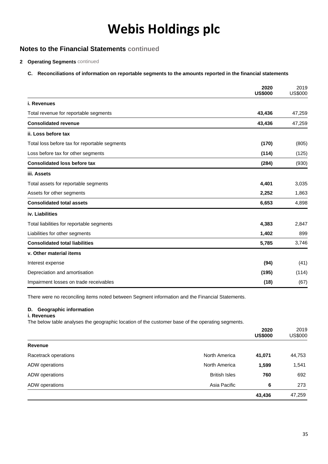## **Notes to the Financial Statements continued**

#### **2 Operating Segments** continued

#### **C. Reconciliations of information on reportable segments to the amounts reported in the financial statements**

|                                               | 2020<br><b>US\$000</b> | 2019<br>US\$000 |
|-----------------------------------------------|------------------------|-----------------|
| i. Revenues                                   |                        |                 |
| Total revenue for reportable segments         | 43,436                 | 47,259          |
| <b>Consolidated revenue</b>                   | 43,436                 | 47,259          |
| ii. Loss before tax                           |                        |                 |
| Total loss before tax for reportable segments | (170)                  | (805)           |
| Loss before tax for other segments            | (114)                  | (125)           |
| <b>Consolidated loss before tax</b>           | (284)                  | (930)           |
| iii. Assets                                   |                        |                 |
| Total assets for reportable segments          | 4,401                  | 3,035           |
| Assets for other segments                     | 2,252                  | 1,863           |
| <b>Consolidated total assets</b>              | 6,653                  | 4,898           |
| iv. Liabilities                               |                        |                 |
| Total liabilities for reportable segments     | 4,383                  | 2,847           |
| Liabilities for other segments                | 1,402                  | 899             |
| <b>Consolidated total liabilities</b>         | 5,785                  | 3,746           |
| v. Other material items                       |                        |                 |
| Interest expense                              | (94)                   | (41)            |
| Depreciation and amortisation                 | (195)                  | (114)           |
| Impairment losses on trade receivables        | (18)                   | (67)            |

There were no reconciling items noted between Segment information and the Financial Statements.

#### **D. Geographic information**

#### **i. Revenues**

The below table analyses the geographic location of the customer base of the operating segments.

|                      |                      | 2020<br><b>US\$000</b> | 2019<br>US\$000 |
|----------------------|----------------------|------------------------|-----------------|
| <b>Revenue</b>       |                      |                        |                 |
| Racetrack operations | North America        | 41,071                 | 44,753          |
| ADW operations       | North America        | 1,599                  | 1,541           |
| ADW operations       | <b>British Isles</b> | 760                    | 692             |
| ADW operations       | Asia Pacific         | 6                      | 273             |
|                      |                      | 43,436                 | 47,259          |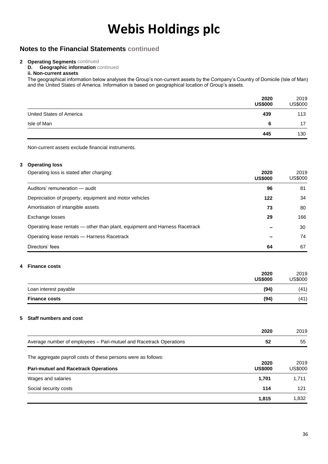### **Notes to the Financial Statements continued**

#### **2 Operating Segments** continued

**D. Geographic information** continued **ii. Non-current assets**

The geographical information below analyses the Group's non-current assets by the Company's Country of Domicile (Isle of Man) and the United States of America. Information is based on geographical location of Group's assets.

|                          | 2020<br><b>US\$000</b> | 2019<br><b>US\$000</b> |
|--------------------------|------------------------|------------------------|
| United States of America | 439                    | 113                    |
| Isle of Man              | 6                      | 17                     |
|                          | 445                    | 130                    |

Non-current assets exclude financial instruments.

#### **3 Operating loss**

| Operating loss is stated after charging:                                    | 2020<br><b>US\$000</b> | 2019<br>US\$000 |
|-----------------------------------------------------------------------------|------------------------|-----------------|
| Auditors' remuneration - audit                                              | 96                     | 81              |
| Depreciation of property, equipment and motor vehicles                      | 122                    | 34              |
| Amortisation of intangible assets                                           | 73                     | 80              |
| Exchange losses                                                             | 29                     | 166             |
| Operating lease rentals — other than plant, equipment and Harness Racetrack |                        | 30              |
| Operating lease rentals - Harness Racetrack                                 |                        | 74              |
| Directors' fees                                                             | 64                     | 67              |

#### **4 Finance costs**

|                       | 2020<br><b>US\$000</b> | 2019<br>US\$000 |
|-----------------------|------------------------|-----------------|
| Loan interest payable | (94)                   | (41)            |
| <b>Finance costs</b>  | (94)                   | (41)            |

#### **5 Staff numbers and cost**

|                                                                    | 2020                   | 2019            |
|--------------------------------------------------------------------|------------------------|-----------------|
| Average number of employees - Pari-mutuel and Racetrack Operations | 52                     | 55              |
| The aggregate payroll costs of these persons were as follows:      |                        |                 |
| <b>Pari-mutuel and Racetrack Operations</b>                        | 2020<br><b>US\$000</b> | 2019<br>US\$000 |
| Wages and salaries                                                 | 1,701                  | 1,711           |
| Social security costs                                              | 114                    | 121             |
|                                                                    | 1,815                  | 1,832           |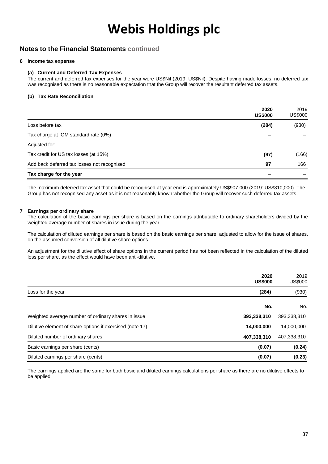### **Notes to the Financial Statements continued**

#### **6 Income tax expense**

#### **(a) Current and Deferred Tax Expenses**

The current and deferred tax expenses for the year were US\$Nil (2019: US\$Nil). Despite having made losses, no deferred tax was recognised as there is no reasonable expectation that the Group will recover the resultant deferred tax assets.

#### **(b) Tax Rate Reconciliation**

|                                             | 2020<br><b>US\$000</b> | 2019<br>US\$000 |
|---------------------------------------------|------------------------|-----------------|
| Loss before tax                             | (284)                  | (930)           |
| Tax charge at IOM standard rate (0%)        |                        |                 |
| Adjusted for:                               |                        |                 |
| Tax credit for US tax losses (at 15%)       | (97)                   | (166)           |
| Add back deferred tax losses not recognised | 97                     | 166             |
| Tax charge for the year                     |                        |                 |

The maximum deferred tax asset that could be recognised at year end is approximately US\$907,000 (2019: US\$810,000). The Group has not recognised any asset as it is not reasonably known whether the Group will recover such deferred tax assets.

#### **7 Earnings per ordinary share**

The calculation of the basic earnings per share is based on the earnings attributable to ordinary shareholders divided by the weighted average number of shares in issue during the year.

The calculation of diluted earnings per share is based on the basic earnings per share, adjusted to allow for the issue of shares, on the assumed conversion of all dilutive share options.

An adjustment for the dilutive effect of share options in the current period has not been reflected in the calculation of the diluted loss per share, as the effect would have been anti-dilutive.

| <b>US\$000</b>                                                         | 2020   | 2019<br><b>US\$000</b> |
|------------------------------------------------------------------------|--------|------------------------|
| Loss for the year                                                      | (284)  | (930)                  |
|                                                                        | No.    | No.                    |
| Weighted average number of ordinary shares in issue<br>393,338,310     |        | 393,338,310            |
| Dilutive element of share options if exercised (note 17)<br>14,000,000 |        | 14,000,000             |
| Diluted number of ordinary shares<br>407,338,310                       |        | 407,338,310            |
| Basic earnings per share (cents)                                       | (0.07) | (0.24)                 |
| Diluted earnings per share (cents)<br>(0.07)                           |        | (0.23)                 |

The earnings applied are the same for both basic and diluted earnings calculations per share as there are no dilutive effects to be applied.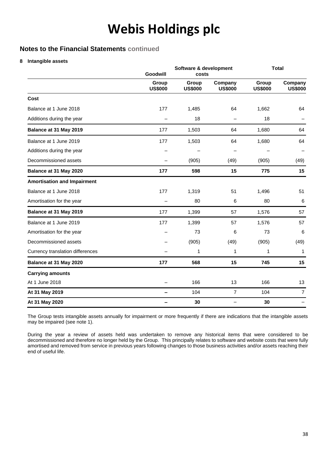### **Notes to the Financial Statements continued**

#### **8 Intangible assets**

|                                    | Software & development<br>Goodwill<br>costs |                         |                           |                         | <b>Total</b>              |
|------------------------------------|---------------------------------------------|-------------------------|---------------------------|-------------------------|---------------------------|
|                                    | Group<br><b>US\$000</b>                     | Group<br><b>US\$000</b> | Company<br><b>US\$000</b> | Group<br><b>US\$000</b> | Company<br><b>US\$000</b> |
| Cost                               |                                             |                         |                           |                         |                           |
| Balance at 1 June 2018             | 177                                         | 1,485                   | 64                        | 1,662                   | 64                        |
| Additions during the year          |                                             | 18                      |                           | 18                      |                           |
| Balance at 31 May 2019             | 177                                         | 1,503                   | 64                        | 1,680                   | 64                        |
| Balance at 1 June 2019             | 177                                         | 1,503                   | 64                        | 1,680                   | 64                        |
| Additions during the year          |                                             |                         |                           |                         |                           |
| Decommissioned assets              |                                             | (905)                   | (49)                      | (905)                   | (49)                      |
| Balance at 31 May 2020             | 177                                         | 598                     | 15                        | 775                     | 15                        |
| <b>Amortisation and Impairment</b> |                                             |                         |                           |                         |                           |
| Balance at 1 June 2018             | 177                                         | 1,319                   | 51                        | 1,496                   | 51                        |
| Amortisation for the year          |                                             | 80                      | 6                         | 80                      | 6                         |
| Balance at 31 May 2019             | 177                                         | 1,399                   | 57                        | 1,576                   | 57                        |
| Balance at 1 June 2019             | 177                                         | 1,399                   | 57                        | 1,576                   | 57                        |
| Amortisation for the year          |                                             | 73                      | 6                         | 73                      | $6\phantom{1}6$           |
| Decommissioned assets              |                                             | (905)                   | (49)                      | (905)                   | (49)                      |
| Currency translation differences   |                                             | 1                       | 1                         | 1                       | 1                         |
| Balance at 31 May 2020             | 177                                         | 568                     | 15                        | 745                     | 15                        |
| <b>Carrying amounts</b>            |                                             |                         |                           |                         |                           |
| At 1 June 2018                     |                                             | 166                     | 13                        | 166                     | 13                        |
| At 31 May 2019                     | —                                           | 104                     | $\overline{7}$            | 104                     | $\overline{7}$            |
| At 31 May 2020                     |                                             | 30                      |                           | 30                      |                           |

The Group tests intangible assets annually for impairment or more frequently if there are indications that the intangible assets may be impaired (see note 1).

During the year a review of assets held was undertaken to remove any historical items that were considered to be decommissioned and therefore no longer held by the Group. This principally relates to software and website costs that were fully amortised and removed from service in previous years following changes to those business activities and/or assets reaching their end of useful life.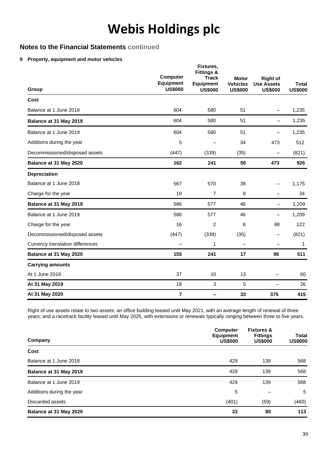### **Notes to the Financial Statements continued**

#### **9 Property, equipment and motor vehicles**

| Group                            | <b>Computer</b><br><b>Equipment</b><br><b>US\$000</b> | Fixtures,<br><b>Fittings &amp;</b><br><b>Track</b><br>Equipment<br><b>US\$000</b> | <b>Motor</b><br><b>Vehicles</b><br><b>US\$000</b> | <b>Right of</b><br><b>Use Assets</b><br><b>US\$000</b> | <b>Total</b><br><b>US\$000</b> |
|----------------------------------|-------------------------------------------------------|-----------------------------------------------------------------------------------|---------------------------------------------------|--------------------------------------------------------|--------------------------------|
| Cost                             |                                                       |                                                                                   |                                                   |                                                        |                                |
| Balance at 1 June 2018           | 604                                                   | 580                                                                               | 51                                                |                                                        | 1,235                          |
| Balance at 31 May 2019           | 604                                                   | 580                                                                               | 51                                                |                                                        | 1,235                          |
| Balance at 1 June 2019           | 604                                                   | 580                                                                               | 51                                                |                                                        | 1,235                          |
| Additions during the year        | 5                                                     |                                                                                   | 34                                                | 473                                                    | 512                            |
| Decommissioned/disposed assets   | (447)                                                 | (339)                                                                             | (35)                                              |                                                        | (821)                          |
| Balance at 31 May 2020           | 162                                                   | 241                                                                               | 50                                                | 473                                                    | 926                            |
| <b>Depreciation</b>              |                                                       |                                                                                   |                                                   |                                                        |                                |
| Balance at 1 June 2018           | 567                                                   | 570                                                                               | 38                                                |                                                        | 1,175                          |
| Charge for the year              | 19                                                    | $\overline{7}$                                                                    | 8                                                 |                                                        | 34                             |
| Balance at 31 May 2019           | 586                                                   | 577                                                                               | 46                                                | $\overline{\phantom{0}}$                               | 1,209                          |
| Balance at 1 June 2019           | 586                                                   | 577                                                                               | 46                                                |                                                        | 1,209                          |
| Charge for the year              | 16                                                    | 2                                                                                 | 6                                                 | 98                                                     | 122                            |
| Decommissioned/disposed assets   | (447)                                                 | (339)                                                                             | (35)                                              | $\overline{\phantom{0}}$                               | (821)                          |
| Currency translation differences |                                                       | 1                                                                                 |                                                   |                                                        | 1                              |
| Balance at 31 May 2020           | 155                                                   | 241                                                                               | 17                                                | 98                                                     | 511                            |
| <b>Carrying amounts</b>          |                                                       |                                                                                   |                                                   |                                                        |                                |
| At 1 June 2018                   | 37                                                    | 10                                                                                | 13                                                |                                                        | 60                             |
| At 31 May 2019                   | 18                                                    | 3                                                                                 | 5                                                 | $\overline{\phantom{0}}$                               | 26                             |
| At 31 May 2020                   | $\overline{7}$                                        |                                                                                   | 33                                                | 375                                                    | 415                            |

Right of use assets relate to two assets: an office building leased until May 2021, with an average length of renewal of three years; and a racetrack facility leased until May 2025, with extensions or renewals typically ranging between three to five years.

| Company                   | <b>Computer</b><br><b>Equipment</b><br><b>US\$000</b> | <b>Fixtures &amp;</b><br><b>Fittings</b><br><b>US\$000</b> | <b>Total</b><br><b>US\$000</b> |
|---------------------------|-------------------------------------------------------|------------------------------------------------------------|--------------------------------|
| Cost                      |                                                       |                                                            |                                |
| Balance at 1 June 2018    | 429                                                   | 139                                                        | 568                            |
| Balance at 31 May 2019    | 429                                                   | 139                                                        | 568                            |
| Balance at 1 June 2019    | 429                                                   | 139                                                        | 568                            |
| Additions during the year | 5                                                     |                                                            | 5                              |
| Discarded assets          | (401)                                                 | (59)                                                       | (460)                          |
| Balance at 31 May 2020    | 33                                                    | 80                                                         | 113                            |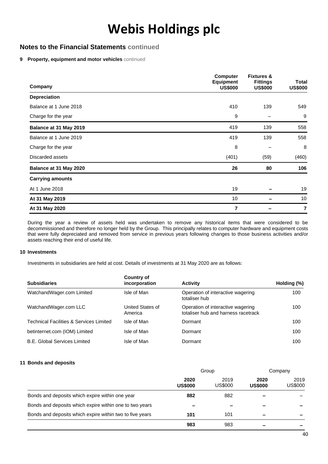### **Notes to the Financial Statements continued**

#### **9 Property, equipment and motor vehicles** continued

| Company                 | <b>Computer</b><br><b>Equipment</b><br><b>US\$000</b> | <b>Fixtures &amp;</b><br><b>Fittings</b><br><b>US\$000</b> | Total<br><b>US\$000</b> |
|-------------------------|-------------------------------------------------------|------------------------------------------------------------|-------------------------|
| <b>Depreciation</b>     |                                                       |                                                            |                         |
| Balance at 1 June 2018  | 410                                                   | 139                                                        | 549                     |
| Charge for the year     | 9                                                     |                                                            | 9                       |
| Balance at 31 May 2019  | 419                                                   | 139                                                        | 558                     |
| Balance at 1 June 2019  | 419                                                   | 139                                                        | 558                     |
| Charge for the year     | 8                                                     |                                                            | 8                       |
| Discarded assets        | (401)                                                 | (59)                                                       | (460)                   |
| Balance at 31 May 2020  | 26                                                    | 80                                                         | 106                     |
| <b>Carrying amounts</b> |                                                       |                                                            |                         |
| At 1 June 2018          | 19                                                    |                                                            | 19                      |
| At 31 May 2019          | 10                                                    |                                                            | 10                      |
| At 31 May 2020          | 7                                                     |                                                            | $\overline{7}$          |

During the year a review of assets held was undertaken to remove any historical items that were considered to be decommissioned and therefore no longer held by the Group. This principally relates to computer hardware and equipment costs that were fully depreciated and removed from service in previous years following changes to those business activities and/or assets reaching their end of useful life.

#### **10 Investments**

Investments in subsidiaries are held at cost. Details of investments at 31 May 2020 are as follows:

| <b>Subsidiaries</b>                                | Country of<br>incorporation | <b>Activity</b>                                                          | Holding (%) |
|----------------------------------------------------|-----------------------------|--------------------------------------------------------------------------|-------------|
| WatchandWager.com Limited                          | Isle of Man                 | Operation of interactive wagering<br>totaliser hub                       | 100         |
| WatchandWager.com LLC                              | United States of<br>America | Operation of interactive wagering<br>totaliser hub and harness racetrack | 100         |
| <b>Technical Facilities &amp; Services Limited</b> | Isle of Man                 | Dormant                                                                  | 100         |
| betinternet.com (IOM) Limited                      | Isle of Man                 | Dormant                                                                  | 100         |
| <b>B.E. Global Services Limited</b>                | Isle of Man                 | Dormant                                                                  | 100         |

#### **11 Bonds and deposits**

|                                                          | Group                  |                 | Company                |                 |
|----------------------------------------------------------|------------------------|-----------------|------------------------|-----------------|
|                                                          | 2020<br><b>US\$000</b> | 2019<br>US\$000 | 2020<br><b>US\$000</b> | 2019<br>US\$000 |
| Bonds and deposits which expire within one year          | 882                    | 882             |                        |                 |
| Bonds and deposits which expire within one to two years  |                        |                 |                        |                 |
| Bonds and deposits which expire within two to five years | 101                    | 101             |                        |                 |
|                                                          | 983                    | 983             |                        |                 |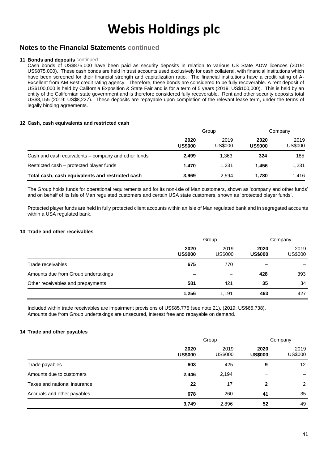### **Notes to the Financial Statements continued**

#### **11 Bonds and deposits continued**

Cash bonds of US\$875,000 have been paid as security deposits in relation to various US State ADW licences (2019: US\$875,000). These cash bonds are held in trust accounts used exclusively for cash collateral, with financial institutions which have been screened for their financial strength and capitalization ratio. The financial institutions have a credit rating of A-Excellent from AM Best credit rating agency. Therefore, these bonds are considered to be fully recoverable. A rent deposit of US\$100,000 is held by California Exposition & State Fair and is for a term of 5 years (2019: US\$100,000). This is held by an entity of the Californian state government and is therefore considered fully recoverable. Rent and other security deposits total US\$8,155 (2019: US\$8,227). These deposits are repayable upon completion of the relevant lease term, under the terms of legally binding agreements.

#### **12 Cash, cash equivalents and restricted cash**

|                                                     | Group                  |                 | Company                |                 |
|-----------------------------------------------------|------------------------|-----------------|------------------------|-----------------|
|                                                     | 2020<br><b>US\$000</b> | 2019<br>US\$000 | 2020<br><b>US\$000</b> | 2019<br>US\$000 |
| Cash and cash equivalents – company and other funds | 2.499                  | 1.363           | 324                    | 185             |
| Restricted cash – protected player funds            | 1.470                  | 1.231           | 1.456                  | 1,231           |
| Total cash, cash equivalents and restricted cash    | 3.969                  | 2.594           | 1.780                  | 1.416           |

The Group holds funds for operational requirements and for its non-Isle of Man customers, shown as 'company and other funds' and on behalf of its Isle of Man regulated customers and certain USA state customers, shown as 'protected player funds'.

Protected player funds are held in fully protected client accounts within an Isle of Man regulated bank and in segregated accounts within a USA regulated bank.

#### **13 Trade and other receivables**

|                                     | Group                    |                 | Company                |                 |
|-------------------------------------|--------------------------|-----------------|------------------------|-----------------|
|                                     | 2020<br><b>US\$000</b>   | 2019<br>US\$000 | 2020<br><b>US\$000</b> | 2019<br>US\$000 |
| Trade receivables                   | 675                      | 770             |                        |                 |
| Amounts due from Group undertakings | $\overline{\phantom{0}}$ |                 | 428                    | 393             |
| Other receivables and prepayments   | 581                      | 421             | 35                     | 34              |
|                                     | 1,256                    | 1,191           | 463                    | 427             |

Included within trade receivables are impairment provisions of US\$85,775 (see note 21), (2019: US\$66,738). Amounts due from Group undertakings are unsecured, interest free and repayable on demand.

#### **14 Trade and other payables**

|                              | Group                  |                 | Company                |                 |
|------------------------------|------------------------|-----------------|------------------------|-----------------|
|                              | 2020<br><b>US\$000</b> | 2019<br>US\$000 | 2020<br><b>US\$000</b> | 2019<br>US\$000 |
| Trade payables               | 603                    | 425             | 9                      | 12              |
| Amounts due to customers     | 2,446                  | 2,194           |                        |                 |
| Taxes and national insurance | 22                     | 17              | $\overline{2}$         | $\overline{2}$  |
| Accruals and other payables  | 678                    | 260             | 41                     | 35              |
|                              | 3,749                  | 2,896           | 52                     | 49              |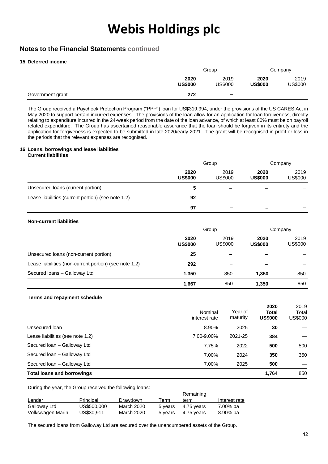### **Notes to the Financial Statements continued**

#### **15 Deferred income**

|                  |                        | Group             |                          | Company                  |  |
|------------------|------------------------|-------------------|--------------------------|--------------------------|--|
|                  | 2020<br><b>US\$000</b> | 2019<br>US\$000   | 2020<br><b>US\$000</b>   | 2019<br>US\$000          |  |
| Government grant | 272                    | $\qquad \qquad -$ | $\overline{\phantom{a}}$ | $\overline{\phantom{0}}$ |  |

The Group received a Paycheck Protection Program ("PPP") loan for US\$319,994, under the provisions of the US CARES Act in May 2020 to support certain incurred expenses. The provisions of the loan allow for an application for loan forgiveness, directly relating to expenditure incurred in the 24-week period from the date of the loan advance, of which at least 60% must be on payroll related expenditure. The Group has ascertained reasonable assurance that the loan should be forgiven in its entirety and the application for forgiveness is expected to be submitted in late 2020/early 2021. The grant will be recognised in profit or loss in the periods that the relevant expenses are recognised.

#### **16 Loans, borrowings and lease liabilities Current liabilities**

|                                                    | Group                  |                          | Company                  |                 |
|----------------------------------------------------|------------------------|--------------------------|--------------------------|-----------------|
|                                                    | 2020<br><b>US\$000</b> | 2019<br>US\$000          | 2020<br><b>US\$000</b>   | 2019<br>US\$000 |
| Unsecured loans (current portion)                  | 5                      | $\overline{\phantom{0}}$ | $\qquad \qquad$          |                 |
| Lease liabilities (current portion) (see note 1.2) | 92                     | –                        | $\qquad \qquad$          |                 |
|                                                    | 97                     |                          | $\overline{\phantom{0}}$ |                 |

#### **Non-current liabilities**

|                                                        | Group                  |                 | Company                  |                 |
|--------------------------------------------------------|------------------------|-----------------|--------------------------|-----------------|
|                                                        | 2020<br><b>US\$000</b> | 2019<br>US\$000 | 2020<br><b>US\$000</b>   | 2019<br>US\$000 |
| Unsecured loans (non-current portion)                  | 25                     |                 | -                        |                 |
| Lease liabilities (non-current portion) (see note 1.2) | 292                    |                 | $\overline{\phantom{a}}$ |                 |
| Secured Ioans - Galloway Ltd                           | 1,350                  | 850             | 1.350                    | 850             |
|                                                        | 1,667                  | 850             | 1,350                    | 850             |

#### **Terms and repayment schedule**

|                                   | Nominal<br>interest rate | Year of<br>maturity | 2020<br><b>Total</b><br><b>US\$000</b> | 2019<br>Total<br><b>US\$000</b> |
|-----------------------------------|--------------------------|---------------------|----------------------------------------|---------------------------------|
| Unsecured loan                    | 8.90%                    | 2025                | 30                                     |                                 |
| Lease liabilities (see note 1.2)  | 7.00-9.00%               | 2021-25             | 384                                    |                                 |
| Secured Ioan - Galloway Ltd       | 7.75%                    | 2022                | 500                                    | 500                             |
| Secured Ioan - Galloway Ltd       | 7.00%                    | 2024                | 350                                    | 350                             |
| Secured Ioan - Galloway Ltd       | 7.00%                    | 2025                | 500                                    |                                 |
| <b>Total loans and borrowings</b> |                          |                     | 1.764                                  | 850                             |

During the year, the Group received the following loans:

|                  |             |            |         | Remaining  |               |
|------------------|-------------|------------|---------|------------|---------------|
| Lender           | Principal   | Drawdown   | Term    | term       | Interest rate |
| Galloway Ltd     | US\$500,000 | March 2020 | 5 years | 4.75 vears | 7.00% pa      |
| Volkswagen Marin | US\$30.911  | March 2020 | 5 years | 4.75 vears | 8.90% pa      |

The secured loans from Galloway Ltd are secured over the unencumbered assets of the Group.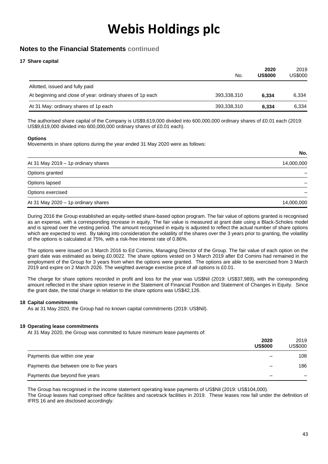### **Notes to the Financial Statements continued**

#### **17 Share capital**

|                                                            | No.         | 2020<br><b>US\$000</b> | 2019<br>US\$000 |
|------------------------------------------------------------|-------------|------------------------|-----------------|
| Allotted, issued and fully paid                            |             |                        |                 |
| At beginning and close of year: ordinary shares of 1p each | 393,338,310 | 6.334                  | 6.334           |
| At 31 May: ordinary shares of 1p each                      | 393,338,310 | 6.334                  | 6,334           |

The authorised share capital of the Company is US\$9,619,000 divided into 600,000,000 ordinary shares of £0.01 each (2019: US\$9,619,000 divided into 600,000,000 ordinary shares of £0.01 each).

#### **Options**

Movements in share options during the year ended 31 May 2020 were as follows:

|                                     | No.        |
|-------------------------------------|------------|
| At 31 May 2019 - 1p ordinary shares | 14,000,000 |
| Options granted                     |            |
| Options lapsed                      |            |
| Options exercised                   |            |
| At 31 May 2020 - 1p ordinary shares | 14,000,000 |

During 2016 the Group established an equity-settled share-based option program. The fair value of options granted is recognised as an expense, with a corresponding increase in equity. The fair value is measured at grant date using a Black-Scholes model and is spread over the vesting period. The amount recognised in equity is adjusted to reflect the actual number of share options which are expected to vest. By taking into consideration the volatility of the shares over the 3 years prior to granting, the volatility of the options is calculated at 75%, with a risk-free interest rate of 0.86%.

The options were issued on 3 March 2016 to Ed Comins, Managing Director of the Group. The fair value of each option on the grant date was estimated as being £0.0022. The share options vested on 3 March 2019 after Ed Comins had remained in the employment of the Group for 3 years from when the options were granted. The options are able to be exercised from 3 March 2019 and expire on 2 March 2026. The weighted average exercise price of all options is £0.01.

The charge for share options recorded in profit and loss for the year was US\$Nil (2019: US\$37,989), with the corresponding amount reflected in the share option reserve in the Statement of Financial Position and Statement of Changes in Equity. Since the grant date, the total charge in relation to the share options was US\$42,126.

#### **18 Capital commitments**

As at 31 May 2020, the Group had no known capital commitments (2019: US\$Nil).

#### **19 Operating lease commitments**

At 31 May 2020, the Group was committed to future minimum lease payments of:

|                                        | 2020<br><b>US\$000</b> | 2019<br>US\$000 |
|----------------------------------------|------------------------|-----------------|
| Payments due within one year           |                        | 108             |
| Payments due between one to five years |                        | 186             |
| Payments due beyond five years         |                        |                 |

The Group has recognised in the income statement operating lease payments of US\$Nil (2019: US\$104,000). The Group leases had comprised office facilities and racetrack facilities in 2019. These leases now fall under the definition of IFRS 16 and are disclosed accordingly.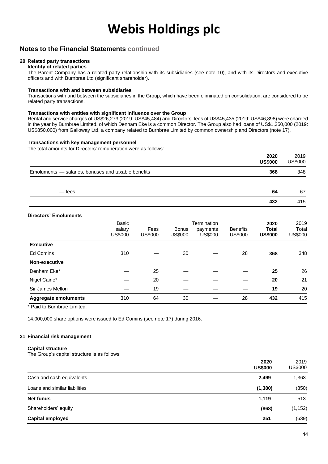### **Notes to the Financial Statements continued**

### **20 Related party transactions**

**Identity of related parties** The Parent Company has a related party relationship with its subsidiaries (see note 10), and with its Directors and executive officers and with Burnbrae Ltd (significant shareholder).

#### **Transactions with and between subsidiaries**

Transactions with and between the subsidiaries in the Group, which have been eliminated on consolidation, are considered to be related party transactions.

#### **Transactions with entities with significant influence over the Group**

Rental and service charges of US\$26,273 (2019: US\$45,484) and Directors' fees of US\$45,435 (2019: US\$46,898) were charged in the year by Burnbrae Limited, of which Denham Eke is a common Director. The Group also had loans of US\$1,350,000 (2019: US\$850,000) from Galloway Ltd, a company related to Burnbrae Limited by common ownership and Directors (note 17).

#### **Transactions with key management personnel**

The total amounts for Directors' remuneration were as follows:

|                                                     | 2020<br><b>US\$000</b> | 2019<br><b>US\$000</b> |
|-----------------------------------------------------|------------------------|------------------------|
| Emoluments - salaries, bonuses and taxable benefits | 368                    | 348                    |
| — fees                                              | 64                     | 67                     |
|                                                     | 432                    | 415                    |

#### **Directors' Emoluments**

|                             | Basic<br>salary<br>US\$000 | Fees<br><b>US\$000</b> | <b>Bonus</b><br><b>US\$000</b> | Termination<br>payments<br>US\$000 | <b>Benefits</b><br><b>US\$000</b> | 2020<br><b>Total</b><br><b>US\$000</b> | 2019<br>Total<br>US\$000 |
|-----------------------------|----------------------------|------------------------|--------------------------------|------------------------------------|-----------------------------------|----------------------------------------|--------------------------|
| <b>Executive</b>            |                            |                        |                                |                                    |                                   |                                        |                          |
| Ed Comins                   | 310                        |                        | 30                             |                                    | 28                                | 368                                    | 348                      |
| Non-executive               |                            |                        |                                |                                    |                                   |                                        |                          |
| Denham Eke*                 |                            | 25                     |                                |                                    |                                   | 25                                     | 26                       |
| Nigel Caine*                |                            | 20                     |                                |                                    |                                   | 20                                     | 21                       |
| Sir James Mellon            |                            | 19                     |                                |                                    |                                   | 19                                     | 20                       |
| <b>Aggregate emoluments</b> | 310                        | 64                     | 30                             |                                    | 28                                | 432                                    | 415                      |

\* Paid to Burnbrae Limited.

14,000,000 share options were issued to Ed Comins (see note 17) during 2016.

#### **21 Financial risk management**

#### **Capital structure**

The Group's capital structure is as follows:

|                               | 2020<br><b>US\$000</b> | 2019<br><b>US\$000</b> |
|-------------------------------|------------------------|------------------------|
| Cash and cash equivalents     | 2,499                  | 1,363                  |
| Loans and similar liabilities | (1, 380)               | (850)                  |
| Net funds                     | 1,119                  | 513                    |
| Shareholders' equity          | (868)                  | (1, 152)               |
| Capital employed              | 251                    | (639)                  |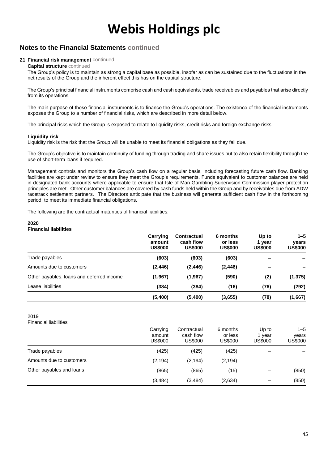## **Notes to the Financial Statements continued**

#### **21 Financial risk management** continued

#### **Capital structure** continued

The Group's policy is to maintain as strong a capital base as possible, insofar as can be sustained due to the fluctuations in the net results of the Group and the inherent effect this has on the capital structure.

The Group's principal financial instruments comprise cash and cash equivalents, trade receivables and payables that arise directly from its operations.

The main purpose of these financial instruments is to finance the Group's operations. The existence of the financial instruments exposes the Group to a number of financial risks, which are described in more detail below.

The principal risks which the Group is exposed to relate to liquidity risks, credit risks and foreign exchange risks.

#### **Liquidity risk**

Liquidity risk is the risk that the Group will be unable to meet its financial obligations as they fall due.

The Group's objective is to maintain continuity of funding through trading and share issues but to also retain flexibility through the use of short-term loans if required.

Management controls and monitors the Group's cash flow on a regular basis, including forecasting future cash flow. Banking facilities are kept under review to ensure they meet the Group's requirements. Funds equivalent to customer balances are held in designated bank accounts where applicable to ensure that Isle of Man Gambling Supervision Commission player protection principles are met. Other customer balances are covered by cash funds held within the Group and by receivables due from ADW racetrack settlement partners. The Directors anticipate that the business will generate sufficient cash flow in the forthcoming period, to meet its immediate financial obligations.

The following are the contractual maturities of financial liabilities:

#### **2020 Financial liabilities**

|                                           | Carrying<br>amount<br><b>US\$000</b> | <b>Contractual</b><br>cash flow<br><b>US\$000</b> | 6 months<br>or less<br><b>US\$000</b> | Up to<br>1 year<br><b>US\$000</b> | $1 - 5$<br><b>vears</b><br><b>US\$000</b> |
|-------------------------------------------|--------------------------------------|---------------------------------------------------|---------------------------------------|-----------------------------------|-------------------------------------------|
| Trade payables                            | (603)                                | (603)                                             | (603)                                 |                                   |                                           |
| Amounts due to customers                  | (2, 446)                             | (2, 446)                                          | (2, 446)                              |                                   |                                           |
| Other payables, loans and deferred income | (1,967)                              | (1, 967)                                          | (590)                                 | (2)                               | (1, 375)                                  |
| Lease liabilities                         | (384)                                | (384)                                             | (16)                                  | (76)                              | (292)                                     |
|                                           | (5,400)                              | (5,400)                                           | (3,655)                               | (78)                              | (1,667)                                   |

#### 2019

Financial liabilities

|                          | Carrying<br>amount<br><b>US\$000</b> | Contractual<br>cash flow<br><b>US\$000</b> | 6 months<br>or less<br><b>US\$000</b> | Up to<br>1 year<br>US\$000 | $1 - 5$<br>years<br>US\$000 |
|--------------------------|--------------------------------------|--------------------------------------------|---------------------------------------|----------------------------|-----------------------------|
| Trade payables           | (425)                                | (425)                                      | (425)                                 |                            |                             |
| Amounts due to customers | (2, 194)                             | (2, 194)                                   | (2, 194)                              |                            |                             |
| Other payables and loans | (865)                                | (865)                                      | (15)                                  |                            | (850)                       |
|                          | (3,484)                              | (3,484)                                    | (2,634)                               |                            | (850)                       |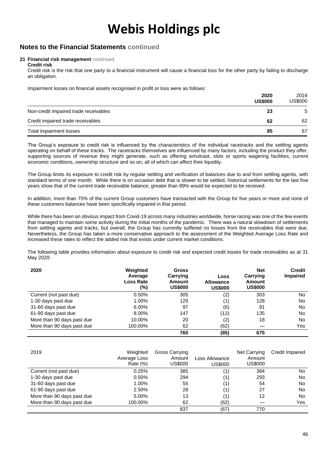### **Notes to the Financial Statements continued**

#### **21 Financial risk management** continued **Credit risk**

Credit risk is the risk that one party to a financial instrument will cause a financial loss for the other party by failing to discharge an obligation.

Impairment losses on financial assets recognised in profit or loss were as follows:

|                                       | 2020<br><b>US\$000</b> | 2019<br>US\$000 |
|---------------------------------------|------------------------|-----------------|
| Non-credit impaired trade receivables | 23                     | 5               |
| Credit impaired trade receivables     | 62                     | 62              |
| Total impairment losses               | 85                     | 67              |

The Group's exposure to credit risk is influenced by the characteristics of the individual racetracks and the settling agents operating on behalf of these tracks. The racetracks themselves are influenced by many factors, including the product they offer, supporting sources of revenue they might generate, such as offering simulcast, slots or sports wagering facilities, current economic conditions, ownership structure and so on, all of which can affect their liquidity.

The Group limits its exposure to credit risk by regular settling and verification of balances due to and from settling agents, with standard terms of one month. While there is on occasion debt that is slower to be settled, historical settlements for the last five years show that of the current trade receivable balance, greater than 99% would be expected to be received.

In addition, more than 75% of the current Group customers have transacted with the Group for five years or more and none of these customers balances have been specifically impaired in that period.

While there has been an obvious impact from Covid-19 across many industries worldwide, horse racing was one of the few events that managed to maintain some activity during the initial months of the pandemic. There was a natural slowdown of settlements from settling agents and tracks, but overall, the Group has currently suffered no losses from the receivables that were due. Nevertheless, the Group has taken a more conservative approach to the assessment of the Weighted Average Loss Rate and increased these rates to reflect the added risk that exists under current market conditions.

The following table provides information about exposure to credit risk and expected credit losses for trade receivables as at 31 May 2020:

| 2020                       | Weighted<br>Average<br><b>Loss Rate</b><br>(%) | <b>Gross</b><br>Carrying<br><b>Amount</b><br><b>US\$000</b> | Loss<br><b>Allowance</b><br><b>US\$000</b> | <b>Net</b><br>Carrying<br><b>Amount</b><br><b>US\$000</b> | <b>Credit</b><br><b>Impaired</b> |
|----------------------------|------------------------------------------------|-------------------------------------------------------------|--------------------------------------------|-----------------------------------------------------------|----------------------------------|
| Current (not past due)     | 0.50%                                          | 305                                                         | (2)                                        | 303                                                       | No.                              |
| 1-30 days past due         | 1.00%                                          | 129                                                         | (1)                                        | 128                                                       | No                               |
| 31-60 days past due        | 6.00%                                          | 97                                                          | (6)                                        | 91                                                        | No.                              |
| 61-90 days past due        | 8.00%                                          | 147                                                         | (12)                                       | 135                                                       | No.                              |
| More than 90 days past due | 10.00%                                         | 20                                                          | (2)                                        | 18                                                        | No.                              |
| More than 90 days past due | 100.00%                                        | 62                                                          | (62)                                       |                                                           | Yes                              |
|                            |                                                | 760                                                         | (85)                                       | 675                                                       |                                  |

| 2019                       | Weighted<br>Average Loss<br>Rate $(\%)$ | Gross Carrying<br>Amount<br>US\$000 | Loss Allowance<br><b>US\$000</b> | Net Carrying<br>Amount<br>US\$000 | Credit Impaired |
|----------------------------|-----------------------------------------|-------------------------------------|----------------------------------|-----------------------------------|-----------------|
| Current (not past due)     | 0.25%                                   | 385                                 | (1)                              | 384                               | No.             |
| 1-30 days past due         | 0.50%                                   | 294                                 | (1)                              | 293                               | No              |
| 31-60 days past due        | 1.00%                                   | 55                                  | (1)                              | 54                                | No              |
| 61-90 days past due        | 2.50%                                   | 28                                  | (1)                              | 27                                | No.             |
| More than 90 days past due | 5.00%                                   | 13                                  | (1                               | 12                                | N <sub>o</sub>  |
| More than 90 days past due | 100.00%                                 | 62                                  | (62)                             |                                   | Yes             |
|                            |                                         | 837                                 | (67)                             | 770                               |                 |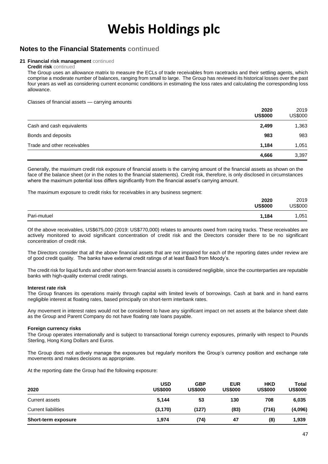### **Notes to the Financial Statements continued**

#### **21 Financial risk management** continued

#### **Credit risk** continued

The Group uses an allowance matrix to measure the ECLs of trade receivables from racetracks and their settling agents, which comprise a moderate number of balances, ranging from small to large. The Group has reviewed its historical losses over the past four years as well as considering current economic conditions in estimating the loss rates and calculating the corresponding loss allowance.

Classes of financial assets — carrying amounts

|                             | 2020<br><b>US\$000</b> | 2019<br>US\$000 |
|-----------------------------|------------------------|-----------------|
| Cash and cash equivalents   | 2,499                  | 1,363           |
| Bonds and deposits          | 983                    | 983             |
| Trade and other receivables | 1.184                  | 1,051           |
|                             | 4,666                  | 3,397           |

Generally, the maximum credit risk exposure of financial assets is the carrying amount of the financial assets as shown on the face of the balance sheet (or in the notes to the financial statements). Credit risk, therefore, is only disclosed in circumstances where the maximum potential loss differs significantly from the financial asset's carrying amount.

The maximum exposure to credit risks for receivables in any business segment:

|             | 2020<br><b>US\$000</b> | 2019<br><b>US\$000</b> |
|-------------|------------------------|------------------------|
| Pari-mutuel | 1,184                  | ,051                   |

Of the above receivables, US\$675,000 (2019: US\$770,000) relates to amounts owed from racing tracks. These receivables are actively monitored to avoid significant concentration of credit risk and the Directors consider there to be no significant concentration of credit risk.

The Directors consider that all the above financial assets that are not impaired for each of the reporting dates under review are of good credit quality. The banks have external credit ratings of at least Baa3 from Moody's.

The credit risk for liquid funds and other short-term financial assets is considered negligible, since the counterparties are reputable banks with high-quality external credit ratings.

#### **Interest rate risk**

The Group finances its operations mainly through capital with limited levels of borrowings. Cash at bank and in hand earns negligible interest at floating rates, based principally on short-term interbank rates.

Any movement in interest rates would not be considered to have any significant impact on net assets at the balance sheet date as the Group and Parent Company do not have floating rate loans payable.

#### **Foreign currency risks**

The Group operates internationally and is subject to transactional foreign currency exposures, primarily with respect to Pounds Sterling, Hong Kong Dollars and Euros.

The Group does not actively manage the exposures but regularly monitors the Group's currency position and exchange rate movements and makes decisions as appropriate.

At the reporting date the Group had the following exposure:

| 2020                       | <b>USD</b><br><b>US\$000</b> | <b>GBP</b><br><b>US\$000</b> | <b>EUR</b><br><b>US\$000</b> | <b>HKD</b><br><b>US\$000</b> | Total<br><b>US\$000</b> |
|----------------------------|------------------------------|------------------------------|------------------------------|------------------------------|-------------------------|
| Current assets             | 5.144                        | 53                           | 130                          | 708                          | 6,035                   |
| <b>Current liabilities</b> | (3, 170)                     | (127)                        | (83)                         | (716)                        | (4,096)                 |
| Short-term exposure        | 1,974                        | (74)                         | 47                           | (8)                          | 1,939                   |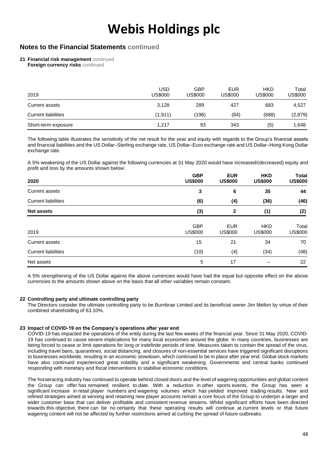### **Notes to the Financial Statements continued**

**21 Financial risk management** continued

**Foreign currency risks continued** 

| 2019                       | USD<br>US\$000 | GBP<br>US\$000 | <b>EUR</b><br>US\$000 | <b>HKD</b><br><b>US\$000</b> | Total<br>US\$000 |
|----------------------------|----------------|----------------|-----------------------|------------------------------|------------------|
| Current assets             | 3.128          | 289            | 427                   | 683                          | 4,527            |
| <b>Current liabilities</b> | (1,911)        | (196)          | (84)                  | (688)                        | (2,879)          |
| Short-term exposure        | 1.217          | 93             | 343                   | (5)                          | 1,648            |

The following table illustrates the sensitivity of the net result for the year and equity with regards to the Group's financial assets and financial liabilities and the US Dollar–Sterling exchange rate, US Dollar–Euro exchange rate and US Dollar–Hong Kong Dollar exchange rate.

A 5% weakening of the US Dollar against the following currencies at 31 May 2020 would have increased/(decreased) equity and profit and loss by the amounts shown below:

| 2020                       | <b>GBP</b><br><b>US\$000</b> | <b>EUR</b><br><b>US\$000</b> | <b>HKD</b><br><b>US\$000</b> | Total<br><b>US\$000</b> |
|----------------------------|------------------------------|------------------------------|------------------------------|-------------------------|
| <b>Current assets</b>      | 3                            | 6                            | 35                           | 44                      |
| <b>Current liabilities</b> | (6)                          | (4)                          | (36)                         | (46)                    |
| <b>Net assets</b>          | (3)                          | $\mathbf{2}$                 | (1)                          | (2)                     |
| 2019                       | <b>GBP</b><br><b>US\$000</b> | <b>EUR</b><br><b>US\$000</b> | <b>HKD</b><br><b>US\$000</b> | Total<br><b>US\$000</b> |
| <b>Current assets</b>      | 15                           | 21                           | 34                           | 70                      |
| <b>Current liabilities</b> | (10)                         | (4)                          | (34)                         | (48)                    |
| Net assets                 | 5                            | 17                           |                              | 22                      |

A 5% strengthening of the US Dollar against the above currencies would have had the equal but opposite effect on the above currencies to the amounts shown above on the basis that all other variables remain constant.

#### **22 Controlling party and ultimate controlling party**

The Directors consider the ultimate controlling party to be Burnbrae Limited and its beneficial owner Jim Mellon by virtue of their combined shareholding of 63.10%.

#### **23 Impact of COVID-19 on the Company's operations after year end**

COVID-19 has impacted the operations of the entity during the last few weeks of the financial year. Since 31 May 2020, COVID-19 has continued to cause severe implications for many local economies around the globe. In many countries, businesses are being forced to cease or limit operations for long or indefinite periods of time. Measures taken to contain the spread of the virus, including travel bans, quarantines, social distancing, and closures of non-essential services have triggered significant disruptions to businesses worldwide, resulting in an economic slowdown, which continued to be in place after year end. Global stock markets have also continued experienced great volatility and a significant weakening. Governments and central banks continued responding with monetary and fiscal interventions to stabilise economic conditions.

The horseracing industry has continued to operate behind closed doors and the level of wagering opportunities and global content the Group can offer has remained resilient to date. With a reduction in other sports events, the Group has seen a significant increase in retail player numbers and wagering volumes which has yielded improved trading results. New and refined strategies aimed at winning and retaining new player accounts remain a core focus of the Group to underpin a larger and wider customer base that can deliver profitable and consistent revenue streams. Whilst significant efforts have been directed towards this objective, there can be no certainty that these operating results will continue at current levels or that future wagering content will not be affected by further restrictions aimed at curbing the spread of future outbreaks.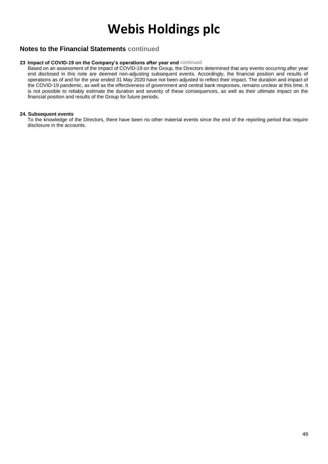### **Notes to the Financial Statements continued**

### **23 Impact of COVID-19 on the Company's operations after year end** continued

Based on an assessment of the impact of COVID-19 on the Group, the Directors determined that any events occurring after year end disclosed in this note are deemed non-adjusting subsequent events. Accordingly, the financial position and results of operations as of and for the year ended 31 May 2020 have not been adjusted to reflect their impact. The duration and impact of the COVID-19 pandemic, as well as the effectiveness of government and central bank responses, remains unclear at this time. It is not possible to reliably estimate the duration and severity of these consequences, as well as their ultimate impact on the financial position and results of the Group for future periods.

#### **24. Subsequent events**

To the knowledge of the Directors, there have been no other material events since the end of the reporting period that require disclosure in the accounts.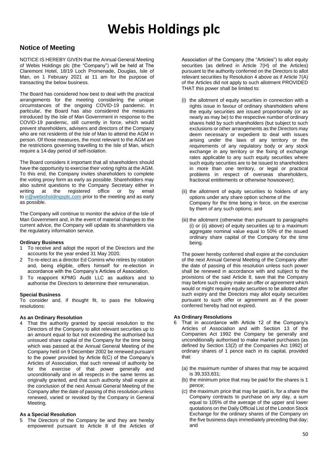### **Notice of Meeting**

NOTICE IS HEREBY GIVEN that the Annual General Meeting of Webis Holdings plc (the "Company") will be held at The Claremont Hotel, 18/19 Loch Promenade, Douglas, Isle of Man, on 1 February 2021 at 11 am for the purpose of transacting the below business.

The Board has considered how best to deal with the practical arrangements for the meeting considering the unique circumstances of the ongoing COVID-19 pandemic. In particular, the Board has also considered the measures introduced by the Isle of Man Government in response to the COVID-19 pandemic, still currently in force, which would prevent shareholders, advisers and directors of the Company who are not residents of the Isle of Man to attend the AGM in person. Of those measures, the most relevant to the AGM are the restrictions governing travelling to the Isle of Man, which require a 14-day period of self-isolation.

The Board considers it important that all shareholders should have the opportunity to exercise their voting rights at the AGM. To this end, the Company invites shareholders to complete the voting proxy form as early as possible. Shareholders may also submit questions to the Company Secretary either in writing at the registered office or by email to [ir@webisholdingsplc.com](mailto:ir@webisholdingsplc.com) prior to the meeting and as early as possible.

The Company will continue to monitor the advice of the Isle of Man Government and, in the event of material changes to the current advice, the Company will update its shareholders via the regulatory information service.

#### **Ordinary Business**

- 1 To receive and adopt the report of the Directors and the accounts for the year ended 31 May 2020.
- 2 To re-elect as a director Ed Comins who retires by rotation and, being eligible, offers himself for re-election in accordance with the Company's Articles of Association.
- 3 To reappoint KPMG Audit LLC as auditors and to authorise the Directors to determine their remuneration.

#### **Special Business**

To consider and, if thought fit, to pass the following resolutions:

#### **As an Ordinary Resolution**

4 That the authority granted by special resolution to the Directors of the Company to allot relevant securities up to an amount equal to but not exceeding the authorised but unissued share capital of the Company for the time being which was passed at the Annual General Meeting of the Company held on 9 December 2002 be renewed pursuant to the power provided by Article 6(C) of the Company's Articles of Association, that such renewal of authority be for the exercise of that power generally and unconditionally and in all respects in the same terms as originally granted, and that such authority shall expire at the conclusion of the next Annual General Meeting of the Company after the date of passing of this resolution unless renewed, varied or revoked by the Company in General Meeting.

#### **As a Special Resolution**

5 The Directors of the Company be and they are hereby empowered pursuant to Article 8 of the Articles of Association of the Company (the "Articles") to allot equity securities (as defined in Article 7(H) of the Articles) pursuant to the authority conferred on the Directors to allot relevant securities by Resolution 4 above as if Article 7(A) of the Articles did not apply to such allotment PROVIDED THAT this power shall be limited to:

- (i) the allotment of equity securities in connection with a rights issue in favour of ordinary shareholders where the equity securities are issued proportionally (or as nearly as may be) to the respective number of ordinary shares held by such shareholders (but subject to such exclusions or other arrangements as the Directors may deem necessary or expedient to deal with issues arising under the laws of any territory or the requirements of any regulatory body or any stock exchange in any territory or the fixing of exchange rates applicable to any such equity securities where such equity securities are to be issued to shareholders in more than one territory, or legal or practical problems in respect of overseas shareholders, fractional entitlements or otherwise howsoever);
- (ii) the allotment of equity securities to holders of any options under any share option scheme of the Company for the time being in force, on the exercise by them of any such options; and
- (iii) the allotment (otherwise than pursuant to paragraphs (i) or (ii) above) of equity securities up to a maximum aggregate nominal value equal to 50% of the issued ordinary share capital of the Company for the time being.

The power hereby conferred shall expire at the conclusion of the next Annual General Meeting of the Company after the date of passing of this resolution unless such power shall be renewed in accordance with and subject to the provisions of the said Article 8, save that the Company may before such expiry make an offer or agreement which would or might require equity securities to be allotted after such expiry and the Directors may allot equity securities pursuant to such offer or agreement as if the power conferred hereby had not expired.

#### **As Ordinary Resolutions**

- 6 That in accordance with Article 12 of the Company's Articles of Association and with Section 13 of the Companies Act 1992 the Company be generally and unconditionally authorised to make market purchases (as defined by Section 13(2) of the Companies Act 1992) of ordinary shares of 1 pence each in its capital, provided that:
	- (a) the maximum number of shares that may be acquired is 39,333,831;
	- (b) the minimum price that may be paid for the shares is 1 pence;
	- (c) the maximum price that may be paid is, for a share the Company contracts to purchase on any day, a sum equal to 105% of the average of the upper and lower quotations on the Daily Official List of the London Stock Exchange for the ordinary shares of the Company on the five business days immediately preceding that day; and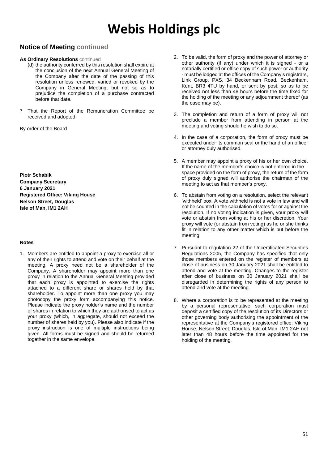### **Notice of Meeting continued**

#### **As Ordinary Resolutions** continued

- (d) the authority conferred by this resolution shall expire at the conclusion of the next Annual General Meeting of the Company after the date of the passing of this resolution unless renewed, varied or revoked by the Company in General Meeting, but not so as to prejudice the completion of a purchase contracted before that date.
- 7 That the Report of the Remuneration Committee be received and adopted.

By order of the Board

**Piotr Schabik Company Secretary 6 January 2021 Registered Office: Viking House Nelson Street, Douglas Isle of Man, IM1 2AH**

#### **Notes**

1. Members are entitled to appoint a proxy to exercise all or any of their rights to attend and vote on their behalf at the meeting. A proxy need not be a shareholder of the Company. A shareholder may appoint more than one proxy in relation to the Annual General Meeting provided that each proxy is appointed to exercise the rights attached to a different share or shares held by that shareholder. To appoint more than one proxy you may photocopy the proxy form accompanying this notice. Please indicate the proxy holder's name and the number of shares in relation to which they are authorised to act as your proxy (which, in aggregate, should not exceed the number of shares held by you). Please also indicate if the proxy instruction is one of multiple instructions being given. All forms must be signed and should be returned together in the same envelope.

- 2. To be valid, the form of proxy and the power of attorney or other authority (if any) under which it is signed - or a notarially certified or office copy of such power or authority - must be lodged at the offices of the Company's registrars, Link Group, PXS, 34 Beckenham Road, Beckenham, Kent, BR3 4TU by hand, or sent by post, so as to be received not less than 48 hours before the time fixed for the holding of the meeting or any adjournment thereof (as the case may be).
- 3. The completion and return of a form of proxy will not preclude a member from attending in person at the meeting and voting should he wish to do so.
- 4. In the case of a corporation, the form of proxy must be executed under its common seal or the hand of an officer or attorney duly authorised.
- 5. A member may appoint a proxy of his or her own choice. If the name of the member's choice is not entered in the space provided on the form of proxy, the return of the form of proxy duly signed will authorise the chairman of the meeting to act as that member's proxy.
- 6. To abstain from voting on a resolution, select the relevant 'withheld' box. A vote withheld is not a vote in law and will not be counted in the calculation of votes for or against the resolution. If no voting indication is given, your proxy will vote or abstain from voting at his or her discretion. Your proxy will vote (or abstain from voting) as he or she thinks fit in relation to any other matter which is put before the meeting.
- 7. Pursuant to regulation 22 of the Uncertificated Securities Regulations 2005, the Company has specified that only those members entered on the register of members at close of business on 30 January 2021 shall be entitled to attend and vote at the meeting. Changes to the register after close of business on 30 January 2021 shall be disregarded in determining the rights of any person to attend and vote at the meeting.
- 8. Where a corporation is to be represented at the meeting by a personal representative, such corporation must deposit a certified copy of the resolution of its Directors or other governing body authorising the appointment of the representative at the Company's registered office: Viking House, Nelson Street, Douglas, Isle of Man, IM1 2AH not later than 48 hours before the time appointed for the holding of the meeting.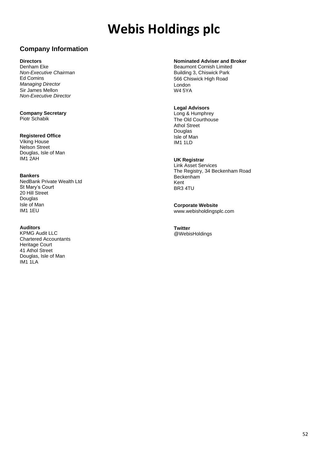# **Company Information**

#### **Directors**

Denham Eke *Non-Executive Chairman* Ed Comins *Managing Director* Sir James Mellon *Non-Executive Director*

**Company Secretary**

Piotr Schabik

#### **Registered Office**

Viking House Nelson Street Douglas, Isle of Man IM1 2AH

#### **Bankers**

NedBank Private Wealth Ltd St Mary's Court 20 Hill Street Douglas Isle of Man IM1 1EU

#### **Auditors**

KPMG Audit LLC Chartered Accountants Heritage Court 41 Athol Street Douglas, Isle of Man IM1 1LA

### **Nominated Adviser and Broker**

Beaumont Cornish Limited Building 3, Chiswick Park 566 Chiswick High Road London W4 5YA

#### **Legal Advisors**

Long & Humphrey The Old Courthouse Athol Street Douglas Isle of Man IM1 1LD

#### **UK Registrar**

Link Asset Services The Registry, 34 Beckenham Road **Beckenham** Kent BR3 4TU

**Corporate Website** www.webisholdingsplc.com

**Twitter** @WebisHoldings